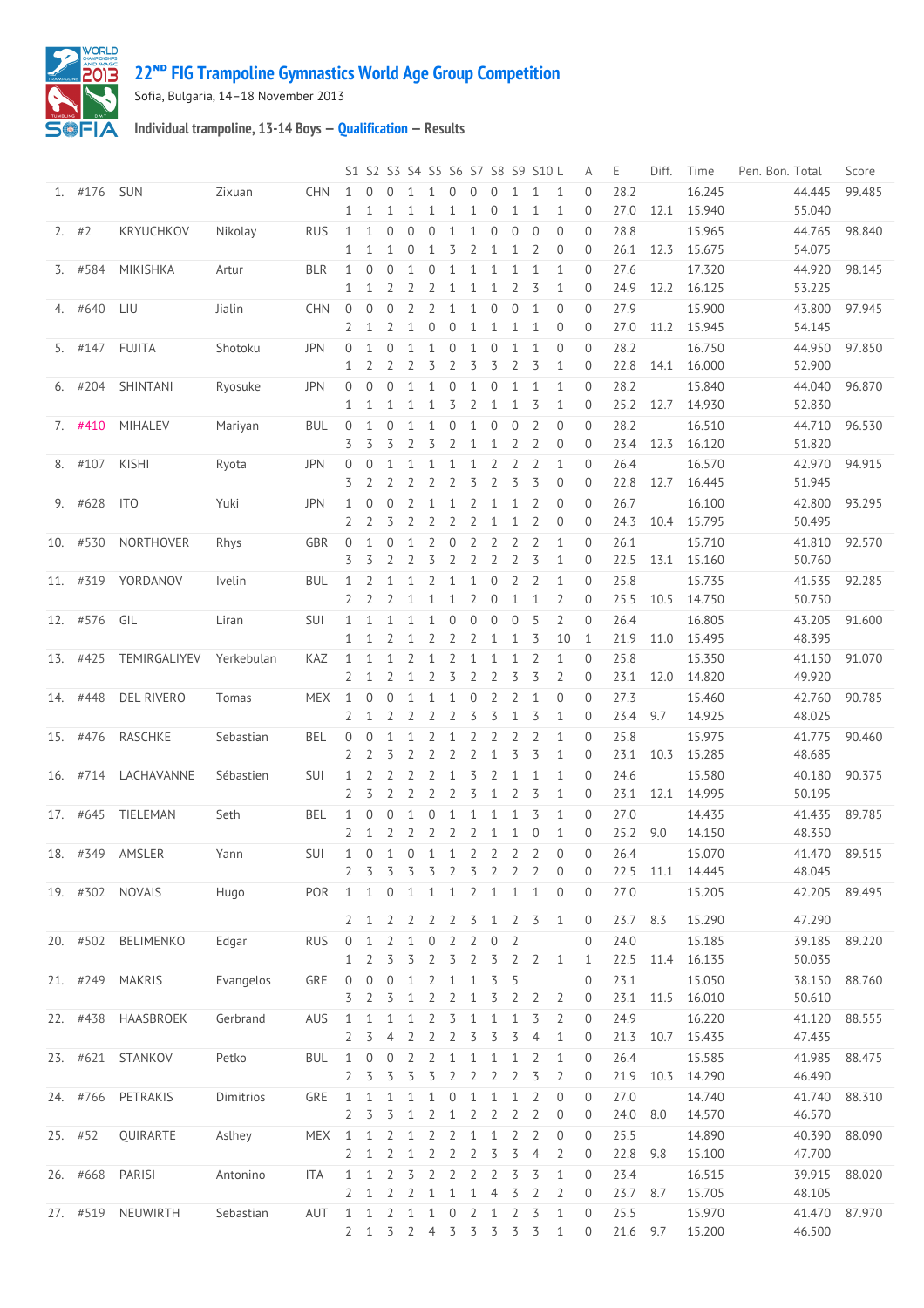

## **ᴺᴰ [FIG Trampoline Gymnastics World Age Group Competition](http://192.168.1.7:9001/event)**

Sofia, Bulgaria, 14–18 November 2013

**Individual trampoline, 13-14 Boys — [Qualification](http://192.168.1.7:9001/stage/10) — Results**

|     |           |                   |            |            |                              |                   |                   |                |                |                  |                |                         |                              | S1 S2 S3 S4 S5 S6 S7 S8 S9 S10 L |                   | Α                             | Ε            | Diff. | Time             | Pen. Bon. Total |                  | Score  |
|-----|-----------|-------------------|------------|------------|------------------------------|-------------------|-------------------|----------------|----------------|------------------|----------------|-------------------------|------------------------------|----------------------------------|-------------------|-------------------------------|--------------|-------|------------------|-----------------|------------------|--------|
|     | 1. #176   | <b>SUN</b>        | Zixuan     | <b>CHN</b> | $\mathbf{1}$<br>$\mathbf{1}$ | $\mathbf{0}$<br>1 | $\mathbf{0}$<br>1 | 1<br>1         | 1<br>1         | $\mathbf 0$<br>1 | $\Omega$<br>1  | $\Omega$<br>$\mathbf 0$ | $\mathbf{1}$<br>$\mathbf{1}$ | $\mathbf{1}$<br>$\mathbf{1}$     | $\mathbf{1}$<br>1 | $\overline{0}$<br>$\mathbf 0$ | 28.2<br>27.0 | 12.1  | 16.245<br>15.940 |                 | 44.445<br>55.040 | 99.485 |
|     | $2.$ #2   | KRYUCHKOV         | Nikolay    | <b>RUS</b> | 1                            | $\mathbf{1}$      | 0                 | $\mathbf{0}$   | $\mathbf{0}$   | 1                | 1              | $\mathbf 0$             | $\mathbf 0$                  | $\mathbf 0$                      | $\mathbf{0}$      | $\mathbf 0$                   | 28.8         |       | 15.965           |                 | 44.765           | 98.840 |
|     |           |                   |            |            | $\mathbf{1}$                 | $\mathbf{1}$      | 1                 | 0              | $\mathbf{1}$   | 3                | $\overline{2}$ | $\mathbf{1}$            | $\mathbf{1}$                 | 2                                | $\mathbf 0$       | $\mathbf{0}$                  | 26.1         | 12.3  | 15.675           |                 | 54.075           |        |
|     | 3. #584   | MIKISHKA          | Artur      | <b>BLR</b> | $\mathbf{1}$                 | $\overline{0}$    | $\overline{0}$    | $\mathbf{1}$   | $\mathbf 0$    | 1                | 1              | 1                       | $\mathbf 1$                  | $\mathbf{1}$                     | 1                 | $\overline{0}$                | 27.6         |       | 17.320           |                 | 44.920           | 98.145 |
|     |           |                   |            |            | 1                            | 1                 | $\overline{2}$    | 2              | 2              | 1                | $\mathbf{1}$   | 1                       | 2                            | 3                                | 1                 | 0                             | 24.9         | 12.2  | 16.125           |                 | 53.225           |        |
| 4.  | #640      | LIU               | Jialin     | <b>CHN</b> | $\mathbf{0}$                 | $\mathbf 0$       | $\mathbf 0$       | $\overline{2}$ | $\overline{2}$ | $\mathbf{1}$     | $\mathbf{1}$   | $\mathbf 0$             | $\mathbf 0$                  | $\mathbf{1}$                     | $\overline{0}$    | $\overline{0}$                | 27.9         |       | 15.900           |                 | 43.800           | 97.945 |
|     |           |                   |            |            | 2                            | 1                 | $\overline{2}$    | 1              | $\mathbf{0}$   | $\mathbf{0}$     | 1              | 1                       | 1                            | $\mathbf{1}$                     | $\overline{0}$    | $\mathbf{0}$                  | 27.0         | 11.2  | 15.945           |                 | 54.145           |        |
| 5.  | #147      | <b>FUJITA</b>     | Shotoku    | <b>JPN</b> | $\mathbf{0}$                 | 1                 | 0                 | 1              | $\mathbf{1}$   | $\mathbf 0$      | 1              | $\mathbf{0}$            | $\mathbf{1}$                 | $\mathbf{1}$                     | $\mathbf 0$       | $\mathbf 0$                   | 28.2         |       | 16.750           |                 | 44.950           | 97.850 |
|     |           |                   |            |            | 1                            | 2                 | 2                 | $\overline{2}$ | 3              | $\overline{2}$   | 3              | 3                       | 2                            | 3                                | 1                 | $\overline{0}$                | 22.8         | 14.1  | 16.000           |                 | 52.900           |        |
| 6.  | #204      | SHINTANI          | Ryosuke    | <b>JPN</b> | $\mathbf{0}$                 | $\mathbf{0}$      | $\overline{0}$    | 1              | $\mathbf{1}$   | $\mathbf 0$      | $\mathbf{1}$   | $\mathbf{0}$            | $\mathbf 1$                  | $\mathbf{1}$                     | 1                 | $\overline{0}$                | 28.2         |       | 15.840           |                 | 44.040           | 96.870 |
|     |           |                   |            |            | 1                            | 1                 | 1                 | 1              | 1              | 3                | $\overline{2}$ | 1                       | $\mathbf{1}$                 | 3                                | 1                 | $\mathbf 0$                   | 25.2         | 12.7  | 14.930           |                 | 52.830           |        |
|     | $7.$ #410 | <b>MIHALEV</b>    | Mariyan    | <b>BUL</b> | $\mathbf{0}$                 | $\mathbf{1}$      | 0                 | 1              | 1              | 0                | 1              | $\mathbf{0}$            | $\mathbf 0$                  | $\overline{2}$                   | $\mathbf 0$       | $\overline{0}$                | 28.2         |       | 16.510           |                 | 44.710           | 96.530 |
|     |           |                   |            |            | 3                            | 3                 | 3                 | $\overline{2}$ | 3              | $\overline{2}$   | $\mathbf{1}$   | 1                       | $\overline{2}$               | $\overline{2}$                   | $\mathbf 0$       | $\overline{0}$                | 23.4         | 12.3  | 16.120           |                 | 51.820           |        |
| 8.  | #107      | <b>KISHI</b>      | Ryota      | <b>JPN</b> | 0                            | $\overline{0}$    | 1                 | 1              | 1              | 1                | $\mathbf{1}$   | 2                       | 2                            | 2                                | 1                 | $\overline{0}$                | 26.4         |       | 16.570           |                 | 42.970           | 94.915 |
|     |           |                   |            |            | 3                            | $\overline{2}$    | 2                 | 2              | 2              | $\overline{2}$   | 3              | $\overline{2}$          | 3                            | 3                                | $\mathbf 0$       | $\overline{0}$                | 22.8         | 12.7  | 16.445           |                 | 51.945           |        |
|     | 9. #628   | <b>ITO</b>        | Yuki       | <b>JPN</b> | 1                            | 0                 | $\mathbf 0$       | $\overline{2}$ | 1              | 1                | $\overline{2}$ | $\mathbf{1}$            | $\mathbf 1$                  | $\overline{2}$                   | $\overline{0}$    | $\overline{0}$                | 26.7         |       | 16.100           |                 | 42.800           | 93.295 |
|     |           |                   |            |            | 2                            | $\overline{2}$    | 3                 | 2              | 2              | $\overline{2}$   | $\overline{2}$ | 1                       | $\mathbf 1$                  | $\overline{2}$                   | 0                 | 0                             | 24.3         | 10.4  | 15.795           |                 | 50.495           |        |
|     | 10. #530  | <b>NORTHOVER</b>  | Rhys       | GBR        | $\mathbf{0}$                 | 1                 | 0                 | $\mathbf{1}$   | 2              | $\mathbf 0$      | $\overline{2}$ | $\overline{2}$          | $\overline{2}$               | $\overline{2}$                   | $\mathbf{1}$      | $\mathbf 0$                   | 26.1         |       | 15.710           |                 | 41.810           | 92.570 |
|     |           |                   |            |            | 3                            | 3                 | $\overline{2}$    | 2              | 3              | 2                | $\overline{2}$ | $\overline{2}$          | $\overline{2}$               | 3                                | 1                 | $\overline{0}$                | 22.5         | 13.1  | 15.160           |                 | 50.760           |        |
|     | 11. #319  | YORDANOV          | Ivelin     | <b>BUL</b> | $\mathbf{1}$                 | 2                 | 1                 | $\mathbf{1}$   | $\overline{2}$ | 1                | $\mathbf{1}$   | $\mathbf{0}$            | $\overline{2}$               | $\overline{2}$                   | $\mathbf{1}$      | $\overline{0}$                | 25.8         |       | 15.735           |                 | 41.535           | 92.285 |
|     |           |                   |            |            | 2                            | 2                 | 2                 | 1              | 1              | 1                | 2              | $\mathbf 0$             | $\mathbf{1}$                 | $\mathbf{1}$                     | 2                 | $\mathbf 0$                   | 25.5         | 10.5  | 14.750           |                 | 50.750           |        |
|     | 12. #576  | GIL               | Liran      | SUI        | $\mathbf{1}$                 | $\mathbf{1}$      | 1                 | $\mathbf{1}$   | $\mathbf{1}$   | $\mathbf 0$      | $\mathbf 0$    | $\overline{0}$          | $\overline{0}$               | 5                                | $\overline{2}$    | $\overline{0}$                | 26.4         |       | 16.805           |                 | 43.205           | 91.600 |
|     |           |                   |            |            | 1                            | $\mathbf{1}$      | 2                 | 1              | 2              | 2                | $\overline{2}$ | $\mathbf{1}$            | $\mathbf{1}$                 | 3                                | 10                | 1                             | 21.9         | 11.0  | 15.495           |                 | 48.395           |        |
|     | 13. #425  | TEMIRGALIYEV      | Yerkebulan | KAZ        | $\mathbf{1}$                 | 1                 | 1                 | $\overline{2}$ | $\mathbf{1}$   | $\overline{2}$   | $\mathbf{1}$   | $\mathbf{1}$            | $\mathbf{1}$                 | $\overline{2}$                   | 1                 | $\overline{0}$                | 25.8         |       | 15.350           |                 | 41.150           | 91.070 |
|     |           |                   |            |            | 2                            | 1                 | 2                 | $\mathbf{1}$   | 2              | 3                | $\overline{2}$ | 2                       | 3                            | 3                                | $\overline{2}$    | $\mathbf 0$                   | 23.1         | 12.0  | 14.820           |                 | 49.920           |        |
|     | 14. #448  | DEL RIVERO        | Tomas      | <b>MEX</b> | $\mathbf{1}$                 | $\mathbf 0$       | 0                 | 1              | 1              | $\mathbf 1$      | 0              | $\overline{2}$          | $\overline{2}$               | 1                                | $\mathbf 0$       | $\mathbf 0$                   | 27.3         |       | 15.460           |                 | 42.760           | 90.785 |
|     |           |                   |            |            | 2                            | 1                 | 2                 | 2              | 2              | $\overline{2}$   | 3              | 3                       | $\mathbf{1}$                 | 3                                | 1                 | $\overline{0}$                | 23.4         | 9.7   | 14.925           |                 | 48.025           |        |
|     | 15. #476  | RASCHKE           | Sebastian  | BEL        | $\mathbf{0}$                 | $\mathbf 0$       | 1                 | 1              | 2              | 1                | $\overline{2}$ | 2                       | 2                            | $\overline{2}$                   | 1                 | $\overline{0}$                | 25.8         |       | 15.975           |                 | 41.775           | 90.460 |
|     |           |                   |            |            | 2                            | 2                 | 3                 | 2              | 2              | $\overline{2}$   | $\overline{2}$ | $\mathbf{1}$            | 3                            | 3                                | 1                 | $\mathbf 0$                   | 23.1         | 10.3  | 15.285           |                 | 48.685           |        |
| 16. | #714      | LACHAVANNE        | Sébastien  | SUI        | 1                            | 2                 | 2                 | $\overline{2}$ | $\overline{2}$ | $\mathbf{1}$     | 3              | 2                       | $\mathbf{1}$                 | $\mathbf{1}$                     | 1                 | $\overline{0}$                | 24.6         |       | 15.580           |                 | 40.180           | 90.375 |
|     |           |                   |            |            | 2                            | 3                 | 2                 | 2              | 2              | $\overline{2}$   | 3              | $\mathbf{1}$            | $\overline{2}$               | 3                                | 1                 | $\mathbf{0}$                  | 23.1         | 12.1  | 14.995           |                 | 50.195           |        |
| 17. | #645      | TIELEMAN          | Seth       | <b>BEL</b> | $\mathbf{1}$                 | 0                 | 0                 | $\mathbf{1}$   | $\mathbf{0}$   | 1                | $\mathbf{1}$   | $\mathbf{1}$            | 1                            | 3                                | 1                 | $\overline{0}$                | 27.0         |       | 14.435           |                 | 41.435           | 89.785 |
|     |           |                   |            |            | $\mathbf{2}$                 | $\mathbf{1}$      | 2                 | 2              | 2              | $\overline{2}$   | $\overline{2}$ | 1                       | $\mathbf 1$                  | $\mathbf 0$                      | 1                 | $\boldsymbol{0}$              | 25.2         | 9.0   | 14.150           |                 | 48.350           |        |
|     | 18. #349  | AMSLER            | Yann       | SUI        | $\mathbf{1}$                 | $\mathbf{0}$      | $\mathbf{1}$      | $\mathbf 0$    | $\mathbf{1}$   | 1                | $\overline{2}$ | $\overline{2}$          | $\overline{2}$               | $\overline{2}$                   | $\overline{0}$    | $\mathbf{0}$                  | 26.4         |       | 15.070           |                 | 41.470           | 89.515 |
|     |           |                   |            |            | 2                            | 3                 | 3                 |                | 3 3 2 3 2      |                  |                |                         | $\overline{2}$               | 2                                | $\overline{0}$    | 0                             | 22.5 11.1    |       | 14.445           |                 | 48.045           |        |
|     |           | 19. #302 NOVAIS   | Hugo       | <b>POR</b> | 1                            | 1                 | $\overline{0}$    | $\mathbf{1}$   | 1              | 1                | 2              | 1                       | 1                            | 1                                | $\mathbf{0}$      | $\overline{0}$                | 27.0         |       | 15.205           |                 | 42.205           | 89.495 |
|     |           |                   |            |            | $2 \quad 1$                  |                   | 2                 | 2              | 2              | $\overline{2}$   | 3              | 1                       | 2                            | 3                                | 1                 | 0                             | 23.7         | 8.3   | 15.290           |                 | 47.290           |        |
|     | 20. #502  | BELIMENKO         | Edgar      | <b>RUS</b> | $\mathbf 0$                  | $\mathbf{1}$      | 2                 | 1              | $\mathbf 0$    | $\overline{2}$   | 2              | $\mathbf 0$             | -2                           |                                  |                   | $\mathbf 0$                   | 24.0         |       | 15.185           |                 | 39.185           | 89.220 |
|     |           |                   |            |            | 1                            | 2                 | 3                 | 3              | 2              | 3                | 2              | 3                       | 2                            | 2                                | 1                 | 1                             | 22.5         | 11.4  | 16.135           |                 | 50.035           |        |
|     | 21. #249  | MAKRIS            | Evangelos  | GRE        | 0                            | $\mathbf 0$       | $\mathbf 0$       | $\mathbf{1}$   | $\overline{2}$ | $\mathbf{1}$     | $\mathbf{1}$   | 3                       | -5                           |                                  |                   | $\mathbf 0$                   | 23.1         |       | 15.050           |                 | 38.150           | 88.760 |
|     |           |                   |            |            | 3                            | 2                 | 3                 | 1              | $\overline{2}$ | $\overline{2}$   | $\mathbf{1}$   | 3                       | 2                            | 2                                | 2                 | 0                             | 23.1 11.5    |       | 16.010           |                 | 50.610           |        |
|     | 22. #438  | HAASBROEK         | Gerbrand   | AUS        | $\mathbf{1}$                 | $\mathbf{1}$      | $\mathbf{1}$      | $\mathbf{1}$   | 2              | 3                | $\mathbf{1}$   | $\mathbf{1}$            | $\mathbf 1$                  | 3                                | 2                 | 0                             | 24.9         |       | 16.220           |                 | 41.120           | 88.555 |
|     |           |                   |            |            | $\mathbf{2}$                 | 3                 | 4                 | 2              | $\overline{2}$ | $\overline{2}$   | 3              | 3                       | 3                            | 4                                | 1                 | 0                             | 21.3         | 10.7  | 15.435           |                 | 47.435           |        |
|     | 23. #621  | STANKOV           | Petko      | <b>BUL</b> | $\mathbf{1}$                 | $\mathbf 0$       | $\mathbf 0$       | $\overline{2}$ | $\overline{2}$ | $\mathbf{1}$     | 1              | $\mathbf{1}$            | $\mathbf 1$                  | $\overline{2}$                   | $\mathbf{1}$      | $\mathbf{0}$                  | 26.4         |       | 15.585           |                 | 41.985           | 88.475 |
|     |           |                   |            |            | $\mathbf{2}$                 | 3                 | 3                 | 3              | 3              | $\overline{2}$   | 2              | $\overline{2}$          | 2                            | 3                                | 2                 | 0                             | 21.9         | 10.3  | 14.290           |                 | 46.490           |        |
|     |           | 24. #766 PETRAKIS | Dimitrios  | GRE        | 1                            | $\mathbf{1}$      | $\mathbf{1}$      | $\mathbf{1}$   | $\mathbf{1}$   | $\mathbf 0$      | $\mathbf{1}$   | $\mathbf{1}$            | 1                            | $\overline{2}$                   | $\mathbf 0$       | $\mathbf 0$                   | 27.0         |       | 14.740           |                 | 41.740           | 88.310 |
|     |           |                   |            |            | $\overline{2}$               | 3                 | 3                 | 1              | 2              | 1                | $\overline{2}$ | $\overline{2}$          | 2                            | 2                                | $\mathbf 0$       | 0                             | 24.0         | 8.0   | 14.570           |                 | 46.570           |        |
|     | 25. #52   | <b>QUIRARTE</b>   | Aslhey     | MEX        | 1                            | $\mathbf{1}$      | 2                 | 1              | 2              | $\overline{2}$   | $\mathbf{1}$   | $\mathbf{1}$            | 2                            | 2                                | $\overline{0}$    | 0                             | 25.5         |       | 14.890           |                 | 40.390           | 88.090 |
|     |           |                   |            |            | 2                            | 1                 | 2                 | $\mathbf 1$    | 2              | $\overline{2}$   | $\overline{2}$ | 3                       | 3                            | $\overline{4}$                   | 2                 | 0                             | 22.8         | 9.8   | 15.100           |                 | 47.700           |        |
|     | 26. #668  | PARISI            | Antonino   | ITA        | $\mathbf{1}$                 | 1                 | 2                 | 3              | 2              | $\overline{2}$   | $\overline{2}$ | $\overline{2}$          | 3                            | 3                                | 1                 | $\overline{0}$                | 23.4         |       | 16.515           |                 | 39.915           | 88.020 |
|     |           |                   |            |            | 2                            | 1                 | 2                 | 2              | 1              | $\mathbf 1$      | $\mathbf{1}$   | $\overline{4}$          | 3                            | 2                                | 2                 | 0                             | 23.7 8.7     |       | 15.705           |                 | 48.105           |        |
|     |           | 27. #519 NEUWIRTH | Sebastian  | AUT        | $\mathbf{1}$                 | $\mathbf{1}$      | $\overline{2}$    | $\mathbf{1}$   | $\mathbf{1}$   | $\boldsymbol{0}$ | $\overline{2}$ | $\mathbf{1}$            | $\overline{2}$               | 3                                | $\mathbf{1}$      | $\mathbf 0$                   | 25.5         |       | 15.970           |                 | 41.470           | 87.970 |
|     |           |                   |            |            |                              |                   |                   |                | $2$ 1 3 2 4 3  |                  |                | 3 3 3 3                 |                              |                                  | 1                 | 0                             | 21.6 9.7     |       | 15.200           |                 | 46.500           |        |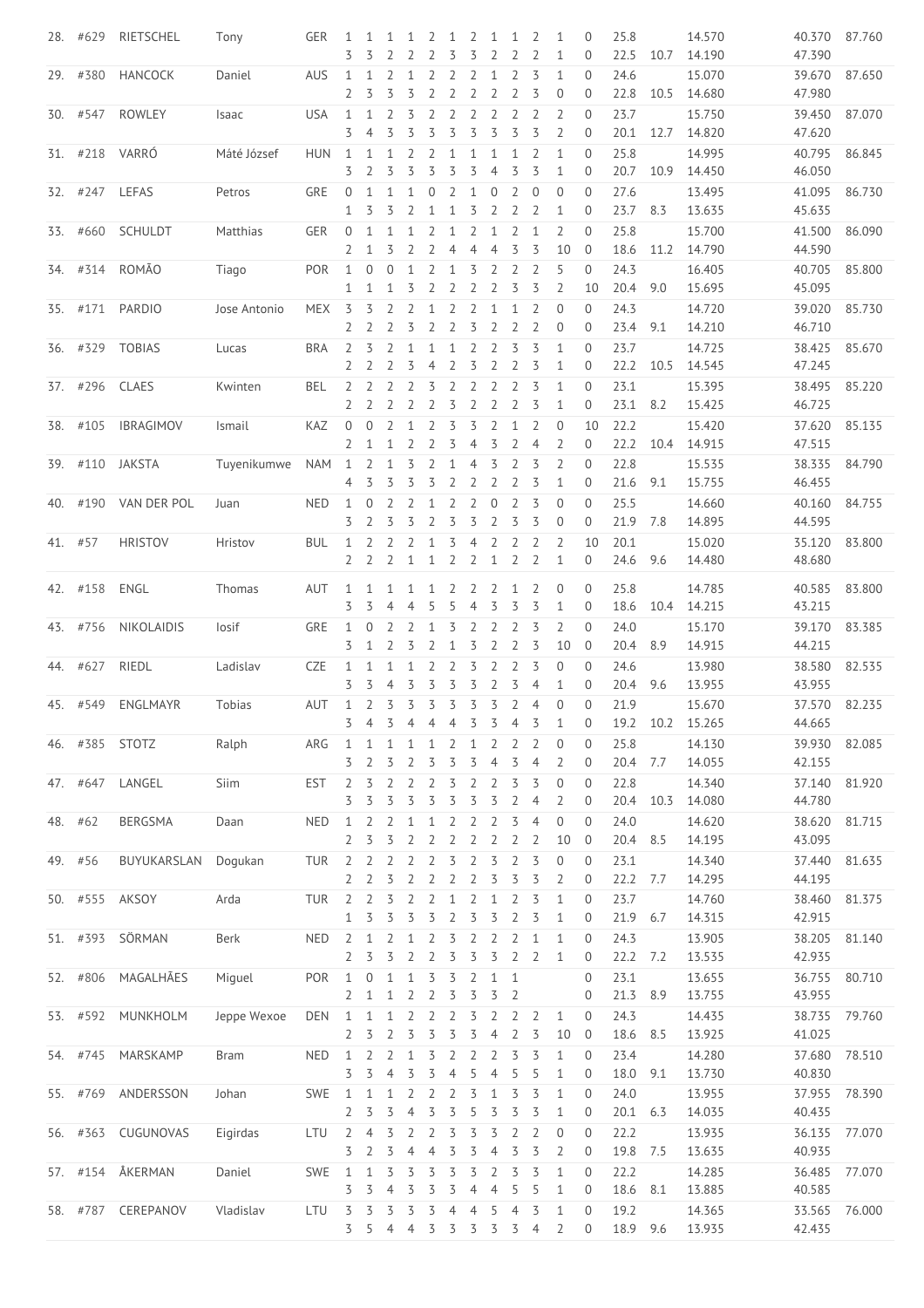| $\overline{2}$<br>24.6<br>$\overline{2}$<br>$\overline{2}$<br>2<br>$\overline{2}$<br>3<br>$\mathbf{1}$<br>15.070<br>39.670<br>87.650<br>29. #380<br>HANCOCK<br>Daniel<br><b>AUS</b><br>$1\quad1$<br>1<br>1<br>$\mathbf{0}$<br>$\overline{2}$<br>$\overline{2}$<br>$\overline{2}$<br>22.8<br>47.980<br>3<br>3<br>2<br>2<br>3<br>$\mathbf{0}$<br>$\mathbf{0}$<br>10.5<br>14.680<br>2<br>3<br>23.7<br>30. #547<br><b>USA</b><br>$\overline{2}$<br>$\overline{2}$<br>$\overline{2}$<br>2<br>$\overline{2}$<br>2<br>$\overline{2}$<br>15.750<br>39.450<br>87.070<br><b>ROWLEY</b><br>$\mathbf{1}$<br>1<br>2<br>3<br>$\Omega$<br>Isaac<br>3<br>3<br>3<br>3<br>3<br>3<br>3<br>20.1<br>3<br>3<br>2<br>$\mathbf{0}$<br>12.7<br>14.820<br>47.620<br>4<br>25.8<br>VARRÓ<br>2<br>$\mathbf{1}$<br>$\overline{2}$<br>$\mathbf{1}$<br>$\overline{0}$<br>14.995<br>40.795<br>86.845<br>31. #218<br>Máté József<br><b>HUN</b><br>$\mathbf{1}$<br>1<br>$\mathbf{1}$<br>2<br>$\mathbf{1}$<br>1<br>$\mathbf{1}$<br>3<br>3<br>3<br>3<br>3<br>3<br>3<br>20.7<br>3<br>2<br>$\overline{4}$<br>1<br>$\overline{0}$<br>10.9<br>14.450<br>46.050<br>LEFAS<br>GRE<br>$\mathbf 0$<br>$\overline{2}$<br>$\overline{2}$<br>$\overline{0}$<br>$\mathbf{0}$<br>27.6<br>41.095<br>86.730<br>32. #247<br>$\mathbf{0}$<br>$\mathbf{1}$<br>1<br>$\mathbf{1}$<br>$\mathbf{1}$<br>$\mathbf 0$<br>$\mathbf{0}$<br>13.495<br>Petros<br>3<br>$\overline{2}$<br>$\mathbf{1}$<br>$\mathbf{1}$<br>3<br>$\overline{2}$<br>$\overline{2}$<br>23.7<br>$\mathbf{1}$<br>3<br>2<br>$\mathbf{1}$<br>$\overline{0}$<br>8.3<br>13.635<br>45.635<br>$\overline{0}$<br>25.8<br>#660<br>SCHULDT<br><b>GER</b><br>$\mathbf{0}$<br>$\mathbf{1}$<br>2<br>1<br>2<br>1<br>2<br>$\mathbf{1}$<br>2<br>15.700<br>41.500<br>86.090<br>33.<br>Matthias<br>1<br>1<br>3<br>$\overline{2}$<br>2<br>$\overline{4}$<br>3<br>3<br>10<br>$\mathbf 0$<br>18.6<br>44.590<br>2<br>1<br>$\overline{4}$<br>$\overline{4}$<br>11.2<br>14.790<br>24.3<br>34. #314<br><b>ROMÃO</b><br>POR<br>$\mathbf{1}$<br>$\overline{2}$<br>$\overline{2}$<br>5<br>$\overline{0}$<br>16.405<br>85.800<br>Tiago<br>$\mathbf{1}$<br>$\mathbf 0$<br>$\mathbf 0$<br>1<br>2<br>3<br>2<br>40.705<br>20.4<br>$\overline{2}$<br>3<br>3<br>$\overline{2}$<br>9.0<br>1<br>3<br>$\overline{2}$<br>$\overline{2}$<br>2<br>10<br>15.695<br>45.095<br>1<br>1<br>$\overline{2}$<br>$\overline{2}$<br>$\overline{2}$<br>35. #171<br><b>PARDIO</b><br><b>MEX</b><br>3<br>3<br>$\overline{2}$<br>$\mathbf{1}$<br>$\overline{2}$<br>$\mathbf{1}$<br>$\mathbf{0}$<br>24.3<br>14.720<br>39.020<br>85.730<br>Jose Antonio<br>$\mathbf{1}$<br>$\mathbf 0$<br>$\overline{2}$<br>3<br>23.4<br>2<br>3<br>2<br>2<br>$\overline{2}$<br>2<br>$\mathbf 0$<br>$\mathbf{0}$<br>9.1<br>14.210<br>46.710<br>2<br>2<br>#329<br>3<br>$\overline{2}$<br>$\mathbf{1}$<br>$\mathbf{1}$<br>$\overline{2}$<br>$\overline{2}$<br>3<br>3<br>$\mathbf{1}$<br>23.7<br>14.725<br>85.670<br><b>TOBIAS</b><br><b>BRA</b><br>$\overline{2}$<br>1<br>$\mathbf{0}$<br>38.425<br>36.<br>Lucas<br>$\overline{2}$<br>3<br>2<br>$\overline{2}$<br>3<br>22.2 10.5<br>14.545<br>47.245<br>$\mathbf{2}^{\prime}$<br>2<br>2<br>3<br>$\mathbf{1}$<br>$\mathbf{0}$<br>$\overline{4}$<br>23.1<br>37. #296<br><b>BEL</b><br>$\overline{2}$<br>$\overline{2}$<br>$\overline{2}$<br>$\overline{2}$<br>3<br>$\overline{2}$<br>2<br>2<br>$\overline{2}$<br>3<br>$\mathbf{1}$<br>$\overline{0}$<br>15.395<br>38.495<br>85.220<br><b>CLAES</b><br>Kwinten<br>3<br>$\overline{2}$<br>$\overline{2}$<br>$\overline{2}$<br>3<br>23.1<br>8.2<br>15.425<br>46.725<br>$\mathbf{2}^{\prime}$<br>2<br>2<br>2<br>2<br>$\mathbf{1}$<br>$\mathbf 0$<br>22.2<br>KAZ<br>$\Omega$<br>2<br>$\overline{2}$<br>3<br>3<br>$\overline{2}$<br>$\mathbf{1}$<br>$\overline{2}$<br>$\theta$<br>10<br>15.420<br>37.620<br>85.135<br>38. #105<br><b>IBRAGIMOV</b><br>Ismail<br>$\mathbf{0}$<br>$\mathbf{1}$<br>22.2<br>$\mathbf{1}$<br>2<br>3<br>3<br>$\overline{2}$<br>10.4<br>47.515<br>2<br>1<br>2<br>$\overline{4}$<br>$\overline{4}$<br>2<br>$\overline{0}$<br>14.915<br>22.8<br>Tuyenikumwe<br><b>NAM</b><br>$\mathbf{1}$<br>39. #110 JAKSTA<br>1<br>2<br>1<br>3<br>2<br>4<br>3<br>2<br>3<br>2<br>$\mathbf{0}$<br>15.535<br>38.335<br>84.790<br>3<br>3<br>$\overline{2}$<br>$\overline{0}$<br>21.6<br>9.1<br>3<br>3<br>2<br>2<br>2<br>3<br>1<br>15.755<br>46.455<br>4<br>25.5<br><b>NED</b><br>$\overline{2}$<br>$\overline{2}$<br>$\theta$<br>$\overline{2}$<br>3<br>$\mathbf{0}$<br>$\overline{0}$<br>14.660<br>84.755<br>40. #190<br>VAN DER POL<br>$\mathbf{1}$<br>$\mathbf 0$<br>2<br>2<br>1<br>40.160<br>Juan<br>3<br>3<br>3<br>3<br>3<br>21.9<br>44.595<br>3<br>$\overline{2}$<br>3<br>2<br>2<br>$\mathbf{0}$<br>$\mathbf{0}$<br>- 7.8<br>14.895<br>3<br>$\overline{2}$<br>20.1<br>41. #57<br><b>HRISTOV</b><br><b>BUL</b><br>$\overline{2}$<br>$\overline{2}$<br>$\overline{2}$<br>$\mathbf{1}$<br>2<br>$\overline{2}$<br>$\overline{2}$<br>10<br>15.020<br>35.120<br>83.800<br>Hristov<br>$\mathbf{1}$<br>$\overline{4}$<br>$\overline{2}$<br>$\overline{2}$<br>$\overline{2}$<br>$\overline{2}$<br>2<br>24.6<br>2 <sub>2</sub><br>1<br>$\mathbf{1}$<br>$\mathbf{1}$<br>1<br>$\mathbf{0}$<br>9.6<br>14.480<br>48.680<br>25.8<br>14.785<br>42. #158<br>ENGL<br>AUT<br>2<br>2<br>2<br>$\mathbf{1}$<br>2<br>$\mathbf{0}$<br>$\mathbf 0$<br>40.585<br>83.800<br>Thomas<br>1<br>1<br>1<br>1<br>1<br>5<br>5<br>3<br>3<br>$\mathbf{1}$<br>18.6<br>3<br>3<br>4<br>4<br>3<br>$\mathbf{0}$<br>10.4<br>14.215<br>43.215<br>4<br>NIKOLAIDIS<br>$\overline{2}$<br>3<br>$\overline{2}$<br>$\overline{2}$<br>$\overline{2}$<br>3<br>$\overline{2}$<br>$\overline{0}$<br>24.0<br>15.170<br>39.170<br>43. #756<br>GRE<br>$\mathbf{1}$<br>$\mathbf 0$<br>$\overline{2}$<br>$\mathbf{1}$<br>83.385<br>losif<br>3<br>$\overline{2}$<br>3<br>44.215<br>3<br>2<br>3<br>2<br>$\mathbf{1}$<br>2<br>10<br>$\overline{0}$<br>20.4 8.9<br>14.915<br>1<br>RIEDL<br>CZE<br>$\mathbf{1}$<br>$\mathbf{1}$<br>$\mathbf{1}$<br>2<br>$\overline{2}$<br>3<br>$\overline{2}$<br>$\overline{2}$<br>3<br>$\mathbf{0}$<br>$\overline{0}$<br>24.6<br>13.980<br>38.580<br>82.535<br>#627<br>Ladislav<br>1<br>44.<br>3<br>3<br>3<br>3<br>3<br>$\overline{2}$<br>3<br>9.6<br>43.955<br>3<br>$\overline{4}$<br>$\overline{4}$<br>$\mathbf{1}$<br>$\overline{0}$<br>20.4<br>13.955<br>$2 \t3 \t3 \t3 \t3$<br>$\overline{3}$<br>3<br>$\overline{2}$<br>21.9<br>AUT<br>$\mathbf{1}$<br>$\overline{4}$<br>$\mathbf{0}$<br>$\overline{0}$<br>15.670<br>37.570<br>82.235<br>45. #549<br><b>ENGLMAYR</b><br>Tobias<br>3 4 3 4 4 4 3 3 4 3 1<br>19.2 10.2 15.265<br>44.665<br>$\mathbf 0$<br>46. #385<br>STOTZ<br>2<br>$\mathbf{1}$<br>2<br>2<br>2<br>0<br>$\mathbf 0$<br>25.8<br>14.130<br>Ralph<br>ARG<br>1<br>1<br>1<br>1<br>39.930<br>82.085<br>1<br>$\overline{2}$<br>3<br>3<br>3<br>3<br>20.4 7.7<br>3<br>2<br>3<br>4<br>$\overline{4}$<br>2<br>$\overline{0}$<br>14.055<br>42.155<br>22.8<br>Siim<br><b>EST</b><br>3<br>$\mathbf 0$<br>$\overline{0}$<br>14.340<br>37.140<br>81.920<br>47. #647<br>LANGEL<br>2<br>3<br>2<br>2<br>2<br>3<br>2<br>2<br>3<br>20.4<br>3<br>3<br>3<br>3<br>3<br>3<br>$\overline{2}$<br>14.080<br>44.780<br>3<br>3<br>4<br>2<br>$\overline{0}$<br>10.3<br>$\mathbf{0}$<br>24.0<br>48. #62<br>BERGSMA<br>Daan<br><b>NED</b><br>$\overline{2}$<br>$\overline{2}$<br>$\overline{2}$<br>$\overline{2}$<br>2<br>3<br>$\overline{4}$<br>$\overline{0}$<br>14.620<br>38.620<br>81.715<br>$\mathbf{1}$<br>$\mathbf{1}$<br>1<br>3<br>3<br>$\overline{2}$<br>$\overline{2}$<br>2<br>20.4 8.5<br>14.195<br>2<br>2<br>$\overline{2}$<br>2<br>2<br>10<br>$\overline{0}$<br>43.095<br>49. #56<br><b>TUR</b><br>$\overline{2}$<br>$\overline{2}$<br>$\overline{2}$<br>2<br>$\overline{2}$<br>3<br>$\overline{2}$<br>3<br>2<br>3<br>$\mathbf{0}$<br>23.1<br>14.340<br>81.635<br>BUYUKARSLAN<br>Dogukan<br>$\mathbf{0}$<br>37.440<br>$\overline{2}$<br>3<br>2 <sub>2</sub><br>$\overline{2}$<br>22.2 7.7<br>14.295<br>44.195<br>$\mathbf{2}$<br>$\overline{2}$<br>3<br>3<br>3<br>$\overline{0}$<br>2<br>$\overline{2}$<br>23.7<br>AKSOY<br><b>TUR</b><br>$\overline{2}$<br>3<br>$\overline{2}$<br>$\overline{2}$<br>$\mathbf{1}$<br>$\overline{2}$<br>$\mathbf{1}$<br>$\overline{2}$<br>3<br>$\mathbf{1}$<br>$\overline{0}$<br>14.760<br>38.460<br>50. #555<br>Arda<br>81.375<br>3<br>$\overline{2}$<br>3<br>3<br>21.9<br>3<br>3<br>3<br>$\overline{2}$<br>3<br>$\mathbf{1}$<br>42.915<br>$\mathbf{1}$<br>$\overline{0}$<br>6.7<br>14.315<br>24.3<br>51. #393<br>SÖRMAN<br>Berk<br><b>NED</b><br>$\overline{2}$<br>$\overline{2}$<br>3<br>2<br>$\overline{2}$<br>$\overline{2}$<br>$\mathbf{1}$<br>$\mathbf{1}$<br>$\overline{0}$<br>13.905<br>38.205<br>81.140<br>$\mathbf{2}$<br>$\mathbf{1}$<br>1<br>3<br>3<br>$\overline{2}$<br>$\overline{2}$<br>3<br>3<br>$\overline{2}$<br>22.2 7.2<br>42.935<br>2<br>3<br>2<br>1<br>$\overline{0}$<br>13.535<br>23.1<br>MAGALHÃES<br>$\mathbf 0$<br>$\mathbf{1}$<br>3<br>3<br>$\overline{2}$<br>$\mathbf{1}$<br>$\mathbf{1}$<br>$\mathbf 0$<br>13.655<br>52. #806<br>Miguel<br><b>POR</b><br>$\mathbf{1}$<br>1<br>36.755<br>80.710<br>21.3<br>$\mathbf{1}$<br>$\overline{2}$<br>$\overline{2}$<br>3<br>3<br>3<br>8.9<br>43.955<br>2<br>1<br>$\overline{2}$<br>13.755<br>0<br>24.3<br>Jeppe Wexoe<br>$\mathbf{1}$<br>$\overline{2}$<br>$\overline{2}$<br>$\overline{2}$<br>3<br>$\overline{2}$<br>2<br>$\mathbf{1}$<br>$\overline{0}$<br>14.435<br>38.735<br>79.760<br>53. #592<br>MUNKHOLM<br><b>DEN</b><br>$\mathbf{1}$<br>1<br>2<br>18.6<br>2<br>3<br>3<br>3<br>3<br>$\overline{2}$<br>3<br>10<br>$\mathbf 0$<br>13.925<br>41.025<br>3<br>4<br>8.5<br>2<br>23.4<br>14.280<br>MARSKAMP<br><b>NED</b><br>2<br>$\overline{2}$<br>3<br>$\overline{2}$<br>$\overline{2}$<br>$\overline{2}$<br>3<br>3<br>$\mathbf{1}$<br>$\overline{0}$<br>37.680<br>78.510<br>54. #745<br>Bram<br>$\mathbf{1}$<br>$\mathbf 1$<br>3<br>3<br>3<br>$\overline{4}$<br>5<br>5<br>18.0<br>13.730<br>40.830<br>3<br>4<br>$\overline{4}$<br>-5<br>$\mathbf{1}$<br>$\mathbf{0}$<br>9.1<br>55. #769<br>SWE<br>$\overline{2}$<br>$\overline{2}$<br>$\overline{2}$<br>3<br>3<br>3<br>$\mathbf{1}$<br>24.0<br>13.955<br>37.955<br>78.390<br>ANDERSSON<br>Johan<br>$\mathbf{1}$<br>1<br>1<br>1<br>$\mathbf{0}$<br>3<br>3<br>3<br>$\overline{4}$<br>3<br>5<br>3<br>3<br>3<br>20.1<br>14.035<br>40.435<br>$\overline{2}$<br>$\mathbf{1}$<br>$\overline{0}$<br>6.3<br>$\overline{0}$<br>22.2<br>CUGUNOVAS<br>LTU<br>$\overline{2}$<br>3<br>$\overline{2}$<br>$\overline{2}$<br>3<br>3<br>3<br>$\overline{2}$<br>2<br>$\overline{0}$<br>13.935<br>36.135<br>56. #363<br>Eigirdas<br>$\overline{4}$<br>77.070<br>$\mathsf 3$<br>19.8 7.5<br>$\overline{2}$<br>3<br>$\overline{4}$<br>$\overline{4}$<br>3<br>$\overline{4}$<br>3<br>3<br>$\overline{2}$<br>40.935<br>3<br>$\overline{0}$<br>13.635<br>22.2<br>57. #154<br>ÅKERMAN<br><b>SWE</b><br>3<br>3<br>$\mathbf{1}$<br>14.285<br>36.485<br>Daniel<br>$\mathbf{1}$<br>3<br>3<br>3<br>2<br>3<br>3<br>$\mathbf{0}$<br>77.070<br>1<br>3<br>3<br>$\overline{4}$<br>3<br>3<br>3<br>5<br>5<br>$\mathbf{1}$<br>18.6<br>40.585<br>4<br>$\overline{4}$<br>$\overline{0}$<br>8.1<br>13.885<br>19.2<br>58. #787<br>CEREPANOV<br>LTU<br>3<br>3<br>3<br>3<br>3<br>$\overline{4}$<br>$\overline{4}$<br>5<br>3<br>$\mathbf{1}$<br>14.365<br>76.000<br>Vladislav<br>$\overline{4}$<br>$\mathbf{0}$<br>33.565<br>$\overline{3}$<br>$\overline{4}$<br>$\overline{4}$<br>3<br>3<br>3<br>$\overline{3}$<br>$\overline{3}$<br>$\overline{4}$<br>$\overline{2}$<br>18.9<br>42.435<br>5<br>0<br>9.6<br>13.935 | 28. #629 | RIETSCHEL | Tony | <b>GER</b> | 1<br>3 | 1 | 1 | 1<br>2 | 2<br>$\overline{2}$ | 1<br>3 | 2<br>3 | 1<br>$\overline{2}$ | 1<br>$\overline{2}$ | 2<br>2 | 1<br>$\mathbf{1}$ | 0<br>$\mathbf{0}$ | 25.8<br>22.5 | 10.7 | 14.570<br>14.190 | 40.370<br>47.390 | 87.760 |
|----------------------------------------------------------------------------------------------------------------------------------------------------------------------------------------------------------------------------------------------------------------------------------------------------------------------------------------------------------------------------------------------------------------------------------------------------------------------------------------------------------------------------------------------------------------------------------------------------------------------------------------------------------------------------------------------------------------------------------------------------------------------------------------------------------------------------------------------------------------------------------------------------------------------------------------------------------------------------------------------------------------------------------------------------------------------------------------------------------------------------------------------------------------------------------------------------------------------------------------------------------------------------------------------------------------------------------------------------------------------------------------------------------------------------------------------------------------------------------------------------------------------------------------------------------------------------------------------------------------------------------------------------------------------------------------------------------------------------------------------------------------------------------------------------------------------------------------------------------------------------------------------------------------------------------------------------------------------------------------------------------------------------------------------------------------------------------------------------------------------------------------------------------------------------------------------------------------------------------------------------------------------------------------------------------------------------------------------------------------------------------------------------------------------------------------------------------------------------------------------------------------------------------------------------------------------------------------------------------------------------------------------------------------------------------------------------------------------------------------------------------------------------------------------------------------------------------------------------------------------------------------------------------------------------------------------------------------------------------------------------------------------------------------------------------------------------------------------------------------------------------------------------------------------------------------------------------------------------------------------------------------------------------------------------------------------------------------------------------------------------------------------------------------------------------------------------------------------------------------------------------------------------------------------------------------------------------------------------------------------------------------------------------------------------------------------------------------------------------------------------------------------------------------------------------------------------------------------------------------------------------------------------------------------------------------------------------------------------------------------------------------------------------------------------------------------------------------------------------------------------------------------------------------------------------------------------------------------------------------------------------------------------------------------------------------------------------------------------------------------------------------------------------------------------------------------------------------------------------------------------------------------------------------------------------------------------------------------------------------------------------------------------------------------------------------------------------------------------------------------------------------------------------------------------------------------------------------------------------------------------------------------------------------------------------------------------------------------------------------------------------------------------------------------------------------------------------------------------------------------------------------------------------------------------------------------------------------------------------------------------------------------------------------------------------------------------------------------------------------------------------------------------------------------------------------------------------------------------------------------------------------------------------------------------------------------------------------------------------------------------------------------------------------------------------------------------------------------------------------------------------------------------------------------------------------------------------------------------------------------------------------------------------------------------------------------------------------------------------------------------------------------------------------------------------------------------------------------------------------------------------------------------------------------------------------------------------------------------------------------------------------------------------------------------------------------------------------------------------------------------------------------------------------------------------------------------------------------------------------------------------------------------------------------------------------------------------------------------------------------------------------------------------------------------------------------------------------------------------------------------------------------------------------------------------------------------------------------------------------------------------------------------------------------------------------------------------------------------------------------------------------------------------------------------------------------------------------------------------------------------------------------------------------------------------------------------------------------------------------------------------------------------------------------------------------------------------------------------------------------------------------------------------------------------------------------------------------------------------------------------------------------------------------------------------------------------------------------------------------------------------------------------------------------------------------------------------------------------------------------------------------------------------------------------------------------------------------------------------------------------------------------------------------------------------------------------------------------------------------------------------------------------------------------------------------------------------------------------------------------------------------------------------------------------------------------------------------------------------------------------------------------------------------------------------------------------------------------------------------------------------------------------------------------------------------------------------------------------------------------------------------------------------------------------------------------------------------------------------------------------------------------------------------------------------------------------------------------------------------------------------------------------------------------------------------------------------------------------------------------------------------------------------------------------------------------------------------------------------------------------------------------------------------------------------------------------------------------------------------------------------------------------------------------------------------------------------------------------------------------------------------------------------------------------------------------------------------------------------------------------------------------------------------------------------------------------------------------------------------------------------------------------------------------------------------------------------------------------------------------------------------------------------------------------------------------------------------------------------------------------------------------------------------------------------------------------------------------------------------------------------------------------------------------------------------------------------------------------------------------------------------------------------------------------------------------------------------------------------------------------------------------------------------------------------------------------------------------------------------------------------------------------------------------------------------------------------------------------------------------------------------------------------------------------------------------------------------------------------------------------------------------------------------------------------------------------------------------------------------------------------------------------------------------------------------------------------------------------------------------------------------------------------------------------------------------------------------------------------------------------------------------------------------------------------------------------------------------------------------------------------------------------------------------------------------------------------------------------------------------------------------------------------------------------------------------------------------------------------------------------------------------------------------------------------------------------------------------------------------------------------------------------------------------------------------------------------------------------------------------------------------------------------------------------------------------------------------------------------------------------|----------|-----------|------|------------|--------|---|---|--------|---------------------|--------|--------|---------------------|---------------------|--------|-------------------|-------------------|--------------|------|------------------|------------------|--------|
|                                                                                                                                                                                                                                                                                                                                                                                                                                                                                                                                                                                                                                                                                                                                                                                                                                                                                                                                                                                                                                                                                                                                                                                                                                                                                                                                                                                                                                                                                                                                                                                                                                                                                                                                                                                                                                                                                                                                                                                                                                                                                                                                                                                                                                                                                                                                                                                                                                                                                                                                                                                                                                                                                                                                                                                                                                                                                                                                                                                                                                                                                                                                                                                                                                                                                                                                                                                                                                                                                                                                                                                                                                                                                                                                                                                                                                                                                                                                                                                                                                                                                                                                                                                                                                                                                                                                                                                                                                                                                                                                                                                                                                                                                                                                                                                                                                                                                                                                                                                                                                                                                                                                                                                                                                                                                                                                                                                                                                                                                                                                                                                                                                                                                                                                                                                                                                                                                                                                                                                                                                                                                                                                                                                                                                                                                                                                                                                                                                                                                                                                                                                                                                                                                                                                                                                                                                                                                                                                                                                                                                                                                                                                                                                                                                                                                                                                                                                                                                                                                                                                                                                                                                                                                                                                                                                                                                                                                                                                                                                                                                                                                                                                                                                                                                                                                                                                                                                                                                                                                                                                                                                                                                                                                                                                                                                                                                                                                                                                                                                                                                                                                                                                                                                                                                                                                                                                                                                                                                                                                                                                                                                                                                                                                                                                                                                                                                                                                                                                                                                                                                                                                                                                                                                                                                                                                                                                                                                                                                                                                                                                                                                                                                                                                                                                                                                                                                                                                                                                                                                                                                                                                                                                                                                                                                                                                                                                                                                                                                                                                                                                                                                                                            |          |           |      |            |        |   |   |        |                     |        |        |                     |                     |        |                   |                   |              |      |                  |                  |        |
|                                                                                                                                                                                                                                                                                                                                                                                                                                                                                                                                                                                                                                                                                                                                                                                                                                                                                                                                                                                                                                                                                                                                                                                                                                                                                                                                                                                                                                                                                                                                                                                                                                                                                                                                                                                                                                                                                                                                                                                                                                                                                                                                                                                                                                                                                                                                                                                                                                                                                                                                                                                                                                                                                                                                                                                                                                                                                                                                                                                                                                                                                                                                                                                                                                                                                                                                                                                                                                                                                                                                                                                                                                                                                                                                                                                                                                                                                                                                                                                                                                                                                                                                                                                                                                                                                                                                                                                                                                                                                                                                                                                                                                                                                                                                                                                                                                                                                                                                                                                                                                                                                                                                                                                                                                                                                                                                                                                                                                                                                                                                                                                                                                                                                                                                                                                                                                                                                                                                                                                                                                                                                                                                                                                                                                                                                                                                                                                                                                                                                                                                                                                                                                                                                                                                                                                                                                                                                                                                                                                                                                                                                                                                                                                                                                                                                                                                                                                                                                                                                                                                                                                                                                                                                                                                                                                                                                                                                                                                                                                                                                                                                                                                                                                                                                                                                                                                                                                                                                                                                                                                                                                                                                                                                                                                                                                                                                                                                                                                                                                                                                                                                                                                                                                                                                                                                                                                                                                                                                                                                                                                                                                                                                                                                                                                                                                                                                                                                                                                                                                                                                                                                                                                                                                                                                                                                                                                                                                                                                                                                                                                                                                                                                                                                                                                                                                                                                                                                                                                                                                                                                                                                                                                                                                                                                                                                                                                                                                                                                                                                                                                                                                                                            |          |           |      |            |        |   |   |        |                     |        |        |                     |                     |        |                   |                   |              |      |                  |                  |        |
|                                                                                                                                                                                                                                                                                                                                                                                                                                                                                                                                                                                                                                                                                                                                                                                                                                                                                                                                                                                                                                                                                                                                                                                                                                                                                                                                                                                                                                                                                                                                                                                                                                                                                                                                                                                                                                                                                                                                                                                                                                                                                                                                                                                                                                                                                                                                                                                                                                                                                                                                                                                                                                                                                                                                                                                                                                                                                                                                                                                                                                                                                                                                                                                                                                                                                                                                                                                                                                                                                                                                                                                                                                                                                                                                                                                                                                                                                                                                                                                                                                                                                                                                                                                                                                                                                                                                                                                                                                                                                                                                                                                                                                                                                                                                                                                                                                                                                                                                                                                                                                                                                                                                                                                                                                                                                                                                                                                                                                                                                                                                                                                                                                                                                                                                                                                                                                                                                                                                                                                                                                                                                                                                                                                                                                                                                                                                                                                                                                                                                                                                                                                                                                                                                                                                                                                                                                                                                                                                                                                                                                                                                                                                                                                                                                                                                                                                                                                                                                                                                                                                                                                                                                                                                                                                                                                                                                                                                                                                                                                                                                                                                                                                                                                                                                                                                                                                                                                                                                                                                                                                                                                                                                                                                                                                                                                                                                                                                                                                                                                                                                                                                                                                                                                                                                                                                                                                                                                                                                                                                                                                                                                                                                                                                                                                                                                                                                                                                                                                                                                                                                                                                                                                                                                                                                                                                                                                                                                                                                                                                                                                                                                                                                                                                                                                                                                                                                                                                                                                                                                                                                                                                                                                                                                                                                                                                                                                                                                                                                                                                                                                                                                                                            |          |           |      |            |        |   |   |        |                     |        |        |                     |                     |        |                   |                   |              |      |                  |                  |        |
|                                                                                                                                                                                                                                                                                                                                                                                                                                                                                                                                                                                                                                                                                                                                                                                                                                                                                                                                                                                                                                                                                                                                                                                                                                                                                                                                                                                                                                                                                                                                                                                                                                                                                                                                                                                                                                                                                                                                                                                                                                                                                                                                                                                                                                                                                                                                                                                                                                                                                                                                                                                                                                                                                                                                                                                                                                                                                                                                                                                                                                                                                                                                                                                                                                                                                                                                                                                                                                                                                                                                                                                                                                                                                                                                                                                                                                                                                                                                                                                                                                                                                                                                                                                                                                                                                                                                                                                                                                                                                                                                                                                                                                                                                                                                                                                                                                                                                                                                                                                                                                                                                                                                                                                                                                                                                                                                                                                                                                                                                                                                                                                                                                                                                                                                                                                                                                                                                                                                                                                                                                                                                                                                                                                                                                                                                                                                                                                                                                                                                                                                                                                                                                                                                                                                                                                                                                                                                                                                                                                                                                                                                                                                                                                                                                                                                                                                                                                                                                                                                                                                                                                                                                                                                                                                                                                                                                                                                                                                                                                                                                                                                                                                                                                                                                                                                                                                                                                                                                                                                                                                                                                                                                                                                                                                                                                                                                                                                                                                                                                                                                                                                                                                                                                                                                                                                                                                                                                                                                                                                                                                                                                                                                                                                                                                                                                                                                                                                                                                                                                                                                                                                                                                                                                                                                                                                                                                                                                                                                                                                                                                                                                                                                                                                                                                                                                                                                                                                                                                                                                                                                                                                                                                                                                                                                                                                                                                                                                                                                                                                                                                                                                                                            |          |           |      |            |        |   |   |        |                     |        |        |                     |                     |        |                   |                   |              |      |                  |                  |        |
|                                                                                                                                                                                                                                                                                                                                                                                                                                                                                                                                                                                                                                                                                                                                                                                                                                                                                                                                                                                                                                                                                                                                                                                                                                                                                                                                                                                                                                                                                                                                                                                                                                                                                                                                                                                                                                                                                                                                                                                                                                                                                                                                                                                                                                                                                                                                                                                                                                                                                                                                                                                                                                                                                                                                                                                                                                                                                                                                                                                                                                                                                                                                                                                                                                                                                                                                                                                                                                                                                                                                                                                                                                                                                                                                                                                                                                                                                                                                                                                                                                                                                                                                                                                                                                                                                                                                                                                                                                                                                                                                                                                                                                                                                                                                                                                                                                                                                                                                                                                                                                                                                                                                                                                                                                                                                                                                                                                                                                                                                                                                                                                                                                                                                                                                                                                                                                                                                                                                                                                                                                                                                                                                                                                                                                                                                                                                                                                                                                                                                                                                                                                                                                                                                                                                                                                                                                                                                                                                                                                                                                                                                                                                                                                                                                                                                                                                                                                                                                                                                                                                                                                                                                                                                                                                                                                                                                                                                                                                                                                                                                                                                                                                                                                                                                                                                                                                                                                                                                                                                                                                                                                                                                                                                                                                                                                                                                                                                                                                                                                                                                                                                                                                                                                                                                                                                                                                                                                                                                                                                                                                                                                                                                                                                                                                                                                                                                                                                                                                                                                                                                                                                                                                                                                                                                                                                                                                                                                                                                                                                                                                                                                                                                                                                                                                                                                                                                                                                                                                                                                                                                                                                                                                                                                                                                                                                                                                                                                                                                                                                                                                                                                                                            |          |           |      |            |        |   |   |        |                     |        |        |                     |                     |        |                   |                   |              |      |                  |                  |        |
|                                                                                                                                                                                                                                                                                                                                                                                                                                                                                                                                                                                                                                                                                                                                                                                                                                                                                                                                                                                                                                                                                                                                                                                                                                                                                                                                                                                                                                                                                                                                                                                                                                                                                                                                                                                                                                                                                                                                                                                                                                                                                                                                                                                                                                                                                                                                                                                                                                                                                                                                                                                                                                                                                                                                                                                                                                                                                                                                                                                                                                                                                                                                                                                                                                                                                                                                                                                                                                                                                                                                                                                                                                                                                                                                                                                                                                                                                                                                                                                                                                                                                                                                                                                                                                                                                                                                                                                                                                                                                                                                                                                                                                                                                                                                                                                                                                                                                                                                                                                                                                                                                                                                                                                                                                                                                                                                                                                                                                                                                                                                                                                                                                                                                                                                                                                                                                                                                                                                                                                                                                                                                                                                                                                                                                                                                                                                                                                                                                                                                                                                                                                                                                                                                                                                                                                                                                                                                                                                                                                                                                                                                                                                                                                                                                                                                                                                                                                                                                                                                                                                                                                                                                                                                                                                                                                                                                                                                                                                                                                                                                                                                                                                                                                                                                                                                                                                                                                                                                                                                                                                                                                                                                                                                                                                                                                                                                                                                                                                                                                                                                                                                                                                                                                                                                                                                                                                                                                                                                                                                                                                                                                                                                                                                                                                                                                                                                                                                                                                                                                                                                                                                                                                                                                                                                                                                                                                                                                                                                                                                                                                                                                                                                                                                                                                                                                                                                                                                                                                                                                                                                                                                                                                                                                                                                                                                                                                                                                                                                                                                                                                                                                                                            |          |           |      |            |        |   |   |        |                     |        |        |                     |                     |        |                   |                   |              |      |                  |                  |        |
|                                                                                                                                                                                                                                                                                                                                                                                                                                                                                                                                                                                                                                                                                                                                                                                                                                                                                                                                                                                                                                                                                                                                                                                                                                                                                                                                                                                                                                                                                                                                                                                                                                                                                                                                                                                                                                                                                                                                                                                                                                                                                                                                                                                                                                                                                                                                                                                                                                                                                                                                                                                                                                                                                                                                                                                                                                                                                                                                                                                                                                                                                                                                                                                                                                                                                                                                                                                                                                                                                                                                                                                                                                                                                                                                                                                                                                                                                                                                                                                                                                                                                                                                                                                                                                                                                                                                                                                                                                                                                                                                                                                                                                                                                                                                                                                                                                                                                                                                                                                                                                                                                                                                                                                                                                                                                                                                                                                                                                                                                                                                                                                                                                                                                                                                                                                                                                                                                                                                                                                                                                                                                                                                                                                                                                                                                                                                                                                                                                                                                                                                                                                                                                                                                                                                                                                                                                                                                                                                                                                                                                                                                                                                                                                                                                                                                                                                                                                                                                                                                                                                                                                                                                                                                                                                                                                                                                                                                                                                                                                                                                                                                                                                                                                                                                                                                                                                                                                                                                                                                                                                                                                                                                                                                                                                                                                                                                                                                                                                                                                                                                                                                                                                                                                                                                                                                                                                                                                                                                                                                                                                                                                                                                                                                                                                                                                                                                                                                                                                                                                                                                                                                                                                                                                                                                                                                                                                                                                                                                                                                                                                                                                                                                                                                                                                                                                                                                                                                                                                                                                                                                                                                                                                                                                                                                                                                                                                                                                                                                                                                                                                                                                                                            |          |           |      |            |        |   |   |        |                     |        |        |                     |                     |        |                   |                   |              |      |                  |                  |        |
|                                                                                                                                                                                                                                                                                                                                                                                                                                                                                                                                                                                                                                                                                                                                                                                                                                                                                                                                                                                                                                                                                                                                                                                                                                                                                                                                                                                                                                                                                                                                                                                                                                                                                                                                                                                                                                                                                                                                                                                                                                                                                                                                                                                                                                                                                                                                                                                                                                                                                                                                                                                                                                                                                                                                                                                                                                                                                                                                                                                                                                                                                                                                                                                                                                                                                                                                                                                                                                                                                                                                                                                                                                                                                                                                                                                                                                                                                                                                                                                                                                                                                                                                                                                                                                                                                                                                                                                                                                                                                                                                                                                                                                                                                                                                                                                                                                                                                                                                                                                                                                                                                                                                                                                                                                                                                                                                                                                                                                                                                                                                                                                                                                                                                                                                                                                                                                                                                                                                                                                                                                                                                                                                                                                                                                                                                                                                                                                                                                                                                                                                                                                                                                                                                                                                                                                                                                                                                                                                                                                                                                                                                                                                                                                                                                                                                                                                                                                                                                                                                                                                                                                                                                                                                                                                                                                                                                                                                                                                                                                                                                                                                                                                                                                                                                                                                                                                                                                                                                                                                                                                                                                                                                                                                                                                                                                                                                                                                                                                                                                                                                                                                                                                                                                                                                                                                                                                                                                                                                                                                                                                                                                                                                                                                                                                                                                                                                                                                                                                                                                                                                                                                                                                                                                                                                                                                                                                                                                                                                                                                                                                                                                                                                                                                                                                                                                                                                                                                                                                                                                                                                                                                                                                                                                                                                                                                                                                                                                                                                                                                                                                                                                                                            |          |           |      |            |        |   |   |        |                     |        |        |                     |                     |        |                   |                   |              |      |                  |                  |        |
|                                                                                                                                                                                                                                                                                                                                                                                                                                                                                                                                                                                                                                                                                                                                                                                                                                                                                                                                                                                                                                                                                                                                                                                                                                                                                                                                                                                                                                                                                                                                                                                                                                                                                                                                                                                                                                                                                                                                                                                                                                                                                                                                                                                                                                                                                                                                                                                                                                                                                                                                                                                                                                                                                                                                                                                                                                                                                                                                                                                                                                                                                                                                                                                                                                                                                                                                                                                                                                                                                                                                                                                                                                                                                                                                                                                                                                                                                                                                                                                                                                                                                                                                                                                                                                                                                                                                                                                                                                                                                                                                                                                                                                                                                                                                                                                                                                                                                                                                                                                                                                                                                                                                                                                                                                                                                                                                                                                                                                                                                                                                                                                                                                                                                                                                                                                                                                                                                                                                                                                                                                                                                                                                                                                                                                                                                                                                                                                                                                                                                                                                                                                                                                                                                                                                                                                                                                                                                                                                                                                                                                                                                                                                                                                                                                                                                                                                                                                                                                                                                                                                                                                                                                                                                                                                                                                                                                                                                                                                                                                                                                                                                                                                                                                                                                                                                                                                                                                                                                                                                                                                                                                                                                                                                                                                                                                                                                                                                                                                                                                                                                                                                                                                                                                                                                                                                                                                                                                                                                                                                                                                                                                                                                                                                                                                                                                                                                                                                                                                                                                                                                                                                                                                                                                                                                                                                                                                                                                                                                                                                                                                                                                                                                                                                                                                                                                                                                                                                                                                                                                                                                                                                                                                                                                                                                                                                                                                                                                                                                                                                                                                                                                                                            |          |           |      |            |        |   |   |        |                     |        |        |                     |                     |        |                   |                   |              |      |                  |                  |        |
|                                                                                                                                                                                                                                                                                                                                                                                                                                                                                                                                                                                                                                                                                                                                                                                                                                                                                                                                                                                                                                                                                                                                                                                                                                                                                                                                                                                                                                                                                                                                                                                                                                                                                                                                                                                                                                                                                                                                                                                                                                                                                                                                                                                                                                                                                                                                                                                                                                                                                                                                                                                                                                                                                                                                                                                                                                                                                                                                                                                                                                                                                                                                                                                                                                                                                                                                                                                                                                                                                                                                                                                                                                                                                                                                                                                                                                                                                                                                                                                                                                                                                                                                                                                                                                                                                                                                                                                                                                                                                                                                                                                                                                                                                                                                                                                                                                                                                                                                                                                                                                                                                                                                                                                                                                                                                                                                                                                                                                                                                                                                                                                                                                                                                                                                                                                                                                                                                                                                                                                                                                                                                                                                                                                                                                                                                                                                                                                                                                                                                                                                                                                                                                                                                                                                                                                                                                                                                                                                                                                                                                                                                                                                                                                                                                                                                                                                                                                                                                                                                                                                                                                                                                                                                                                                                                                                                                                                                                                                                                                                                                                                                                                                                                                                                                                                                                                                                                                                                                                                                                                                                                                                                                                                                                                                                                                                                                                                                                                                                                                                                                                                                                                                                                                                                                                                                                                                                                                                                                                                                                                                                                                                                                                                                                                                                                                                                                                                                                                                                                                                                                                                                                                                                                                                                                                                                                                                                                                                                                                                                                                                                                                                                                                                                                                                                                                                                                                                                                                                                                                                                                                                                                                                                                                                                                                                                                                                                                                                                                                                                                                                                                                                                            |          |           |      |            |        |   |   |        |                     |        |        |                     |                     |        |                   |                   |              |      |                  |                  |        |
|                                                                                                                                                                                                                                                                                                                                                                                                                                                                                                                                                                                                                                                                                                                                                                                                                                                                                                                                                                                                                                                                                                                                                                                                                                                                                                                                                                                                                                                                                                                                                                                                                                                                                                                                                                                                                                                                                                                                                                                                                                                                                                                                                                                                                                                                                                                                                                                                                                                                                                                                                                                                                                                                                                                                                                                                                                                                                                                                                                                                                                                                                                                                                                                                                                                                                                                                                                                                                                                                                                                                                                                                                                                                                                                                                                                                                                                                                                                                                                                                                                                                                                                                                                                                                                                                                                                                                                                                                                                                                                                                                                                                                                                                                                                                                                                                                                                                                                                                                                                                                                                                                                                                                                                                                                                                                                                                                                                                                                                                                                                                                                                                                                                                                                                                                                                                                                                                                                                                                                                                                                                                                                                                                                                                                                                                                                                                                                                                                                                                                                                                                                                                                                                                                                                                                                                                                                                                                                                                                                                                                                                                                                                                                                                                                                                                                                                                                                                                                                                                                                                                                                                                                                                                                                                                                                                                                                                                                                                                                                                                                                                                                                                                                                                                                                                                                                                                                                                                                                                                                                                                                                                                                                                                                                                                                                                                                                                                                                                                                                                                                                                                                                                                                                                                                                                                                                                                                                                                                                                                                                                                                                                                                                                                                                                                                                                                                                                                                                                                                                                                                                                                                                                                                                                                                                                                                                                                                                                                                                                                                                                                                                                                                                                                                                                                                                                                                                                                                                                                                                                                                                                                                                                                                                                                                                                                                                                                                                                                                                                                                                                                                                                                                            |          |           |      |            |        |   |   |        |                     |        |        |                     |                     |        |                   |                   |              |      |                  |                  |        |
|                                                                                                                                                                                                                                                                                                                                                                                                                                                                                                                                                                                                                                                                                                                                                                                                                                                                                                                                                                                                                                                                                                                                                                                                                                                                                                                                                                                                                                                                                                                                                                                                                                                                                                                                                                                                                                                                                                                                                                                                                                                                                                                                                                                                                                                                                                                                                                                                                                                                                                                                                                                                                                                                                                                                                                                                                                                                                                                                                                                                                                                                                                                                                                                                                                                                                                                                                                                                                                                                                                                                                                                                                                                                                                                                                                                                                                                                                                                                                                                                                                                                                                                                                                                                                                                                                                                                                                                                                                                                                                                                                                                                                                                                                                                                                                                                                                                                                                                                                                                                                                                                                                                                                                                                                                                                                                                                                                                                                                                                                                                                                                                                                                                                                                                                                                                                                                                                                                                                                                                                                                                                                                                                                                                                                                                                                                                                                                                                                                                                                                                                                                                                                                                                                                                                                                                                                                                                                                                                                                                                                                                                                                                                                                                                                                                                                                                                                                                                                                                                                                                                                                                                                                                                                                                                                                                                                                                                                                                                                                                                                                                                                                                                                                                                                                                                                                                                                                                                                                                                                                                                                                                                                                                                                                                                                                                                                                                                                                                                                                                                                                                                                                                                                                                                                                                                                                                                                                                                                                                                                                                                                                                                                                                                                                                                                                                                                                                                                                                                                                                                                                                                                                                                                                                                                                                                                                                                                                                                                                                                                                                                                                                                                                                                                                                                                                                                                                                                                                                                                                                                                                                                                                                                                                                                                                                                                                                                                                                                                                                                                                                                                                                                                            |          |           |      |            |        |   |   |        |                     |        |        |                     |                     |        |                   |                   |              |      |                  |                  |        |
|                                                                                                                                                                                                                                                                                                                                                                                                                                                                                                                                                                                                                                                                                                                                                                                                                                                                                                                                                                                                                                                                                                                                                                                                                                                                                                                                                                                                                                                                                                                                                                                                                                                                                                                                                                                                                                                                                                                                                                                                                                                                                                                                                                                                                                                                                                                                                                                                                                                                                                                                                                                                                                                                                                                                                                                                                                                                                                                                                                                                                                                                                                                                                                                                                                                                                                                                                                                                                                                                                                                                                                                                                                                                                                                                                                                                                                                                                                                                                                                                                                                                                                                                                                                                                                                                                                                                                                                                                                                                                                                                                                                                                                                                                                                                                                                                                                                                                                                                                                                                                                                                                                                                                                                                                                                                                                                                                                                                                                                                                                                                                                                                                                                                                                                                                                                                                                                                                                                                                                                                                                                                                                                                                                                                                                                                                                                                                                                                                                                                                                                                                                                                                                                                                                                                                                                                                                                                                                                                                                                                                                                                                                                                                                                                                                                                                                                                                                                                                                                                                                                                                                                                                                                                                                                                                                                                                                                                                                                                                                                                                                                                                                                                                                                                                                                                                                                                                                                                                                                                                                                                                                                                                                                                                                                                                                                                                                                                                                                                                                                                                                                                                                                                                                                                                                                                                                                                                                                                                                                                                                                                                                                                                                                                                                                                                                                                                                                                                                                                                                                                                                                                                                                                                                                                                                                                                                                                                                                                                                                                                                                                                                                                                                                                                                                                                                                                                                                                                                                                                                                                                                                                                                                                                                                                                                                                                                                                                                                                                                                                                                                                                                                                                            |          |           |      |            |        |   |   |        |                     |        |        |                     |                     |        |                   |                   |              |      |                  |                  |        |
|                                                                                                                                                                                                                                                                                                                                                                                                                                                                                                                                                                                                                                                                                                                                                                                                                                                                                                                                                                                                                                                                                                                                                                                                                                                                                                                                                                                                                                                                                                                                                                                                                                                                                                                                                                                                                                                                                                                                                                                                                                                                                                                                                                                                                                                                                                                                                                                                                                                                                                                                                                                                                                                                                                                                                                                                                                                                                                                                                                                                                                                                                                                                                                                                                                                                                                                                                                                                                                                                                                                                                                                                                                                                                                                                                                                                                                                                                                                                                                                                                                                                                                                                                                                                                                                                                                                                                                                                                                                                                                                                                                                                                                                                                                                                                                                                                                                                                                                                                                                                                                                                                                                                                                                                                                                                                                                                                                                                                                                                                                                                                                                                                                                                                                                                                                                                                                                                                                                                                                                                                                                                                                                                                                                                                                                                                                                                                                                                                                                                                                                                                                                                                                                                                                                                                                                                                                                                                                                                                                                                                                                                                                                                                                                                                                                                                                                                                                                                                                                                                                                                                                                                                                                                                                                                                                                                                                                                                                                                                                                                                                                                                                                                                                                                                                                                                                                                                                                                                                                                                                                                                                                                                                                                                                                                                                                                                                                                                                                                                                                                                                                                                                                                                                                                                                                                                                                                                                                                                                                                                                                                                                                                                                                                                                                                                                                                                                                                                                                                                                                                                                                                                                                                                                                                                                                                                                                                                                                                                                                                                                                                                                                                                                                                                                                                                                                                                                                                                                                                                                                                                                                                                                                                                                                                                                                                                                                                                                                                                                                                                                                                                                                                                            |          |           |      |            |        |   |   |        |                     |        |        |                     |                     |        |                   |                   |              |      |                  |                  |        |
|                                                                                                                                                                                                                                                                                                                                                                                                                                                                                                                                                                                                                                                                                                                                                                                                                                                                                                                                                                                                                                                                                                                                                                                                                                                                                                                                                                                                                                                                                                                                                                                                                                                                                                                                                                                                                                                                                                                                                                                                                                                                                                                                                                                                                                                                                                                                                                                                                                                                                                                                                                                                                                                                                                                                                                                                                                                                                                                                                                                                                                                                                                                                                                                                                                                                                                                                                                                                                                                                                                                                                                                                                                                                                                                                                                                                                                                                                                                                                                                                                                                                                                                                                                                                                                                                                                                                                                                                                                                                                                                                                                                                                                                                                                                                                                                                                                                                                                                                                                                                                                                                                                                                                                                                                                                                                                                                                                                                                                                                                                                                                                                                                                                                                                                                                                                                                                                                                                                                                                                                                                                                                                                                                                                                                                                                                                                                                                                                                                                                                                                                                                                                                                                                                                                                                                                                                                                                                                                                                                                                                                                                                                                                                                                                                                                                                                                                                                                                                                                                                                                                                                                                                                                                                                                                                                                                                                                                                                                                                                                                                                                                                                                                                                                                                                                                                                                                                                                                                                                                                                                                                                                                                                                                                                                                                                                                                                                                                                                                                                                                                                                                                                                                                                                                                                                                                                                                                                                                                                                                                                                                                                                                                                                                                                                                                                                                                                                                                                                                                                                                                                                                                                                                                                                                                                                                                                                                                                                                                                                                                                                                                                                                                                                                                                                                                                                                                                                                                                                                                                                                                                                                                                                                                                                                                                                                                                                                                                                                                                                                                                                                                                                                                            |          |           |      |            |        |   |   |        |                     |        |        |                     |                     |        |                   |                   |              |      |                  |                  |        |
|                                                                                                                                                                                                                                                                                                                                                                                                                                                                                                                                                                                                                                                                                                                                                                                                                                                                                                                                                                                                                                                                                                                                                                                                                                                                                                                                                                                                                                                                                                                                                                                                                                                                                                                                                                                                                                                                                                                                                                                                                                                                                                                                                                                                                                                                                                                                                                                                                                                                                                                                                                                                                                                                                                                                                                                                                                                                                                                                                                                                                                                                                                                                                                                                                                                                                                                                                                                                                                                                                                                                                                                                                                                                                                                                                                                                                                                                                                                                                                                                                                                                                                                                                                                                                                                                                                                                                                                                                                                                                                                                                                                                                                                                                                                                                                                                                                                                                                                                                                                                                                                                                                                                                                                                                                                                                                                                                                                                                                                                                                                                                                                                                                                                                                                                                                                                                                                                                                                                                                                                                                                                                                                                                                                                                                                                                                                                                                                                                                                                                                                                                                                                                                                                                                                                                                                                                                                                                                                                                                                                                                                                                                                                                                                                                                                                                                                                                                                                                                                                                                                                                                                                                                                                                                                                                                                                                                                                                                                                                                                                                                                                                                                                                                                                                                                                                                                                                                                                                                                                                                                                                                                                                                                                                                                                                                                                                                                                                                                                                                                                                                                                                                                                                                                                                                                                                                                                                                                                                                                                                                                                                                                                                                                                                                                                                                                                                                                                                                                                                                                                                                                                                                                                                                                                                                                                                                                                                                                                                                                                                                                                                                                                                                                                                                                                                                                                                                                                                                                                                                                                                                                                                                                                                                                                                                                                                                                                                                                                                                                                                                                                                                                                                            |          |           |      |            |        |   |   |        |                     |        |        |                     |                     |        |                   |                   |              |      |                  |                  |        |
|                                                                                                                                                                                                                                                                                                                                                                                                                                                                                                                                                                                                                                                                                                                                                                                                                                                                                                                                                                                                                                                                                                                                                                                                                                                                                                                                                                                                                                                                                                                                                                                                                                                                                                                                                                                                                                                                                                                                                                                                                                                                                                                                                                                                                                                                                                                                                                                                                                                                                                                                                                                                                                                                                                                                                                                                                                                                                                                                                                                                                                                                                                                                                                                                                                                                                                                                                                                                                                                                                                                                                                                                                                                                                                                                                                                                                                                                                                                                                                                                                                                                                                                                                                                                                                                                                                                                                                                                                                                                                                                                                                                                                                                                                                                                                                                                                                                                                                                                                                                                                                                                                                                                                                                                                                                                                                                                                                                                                                                                                                                                                                                                                                                                                                                                                                                                                                                                                                                                                                                                                                                                                                                                                                                                                                                                                                                                                                                                                                                                                                                                                                                                                                                                                                                                                                                                                                                                                                                                                                                                                                                                                                                                                                                                                                                                                                                                                                                                                                                                                                                                                                                                                                                                                                                                                                                                                                                                                                                                                                                                                                                                                                                                                                                                                                                                                                                                                                                                                                                                                                                                                                                                                                                                                                                                                                                                                                                                                                                                                                                                                                                                                                                                                                                                                                                                                                                                                                                                                                                                                                                                                                                                                                                                                                                                                                                                                                                                                                                                                                                                                                                                                                                                                                                                                                                                                                                                                                                                                                                                                                                                                                                                                                                                                                                                                                                                                                                                                                                                                                                                                                                                                                                                                                                                                                                                                                                                                                                                                                                                                                                                                                                                                            |          |           |      |            |        |   |   |        |                     |        |        |                     |                     |        |                   |                   |              |      |                  |                  |        |
|                                                                                                                                                                                                                                                                                                                                                                                                                                                                                                                                                                                                                                                                                                                                                                                                                                                                                                                                                                                                                                                                                                                                                                                                                                                                                                                                                                                                                                                                                                                                                                                                                                                                                                                                                                                                                                                                                                                                                                                                                                                                                                                                                                                                                                                                                                                                                                                                                                                                                                                                                                                                                                                                                                                                                                                                                                                                                                                                                                                                                                                                                                                                                                                                                                                                                                                                                                                                                                                                                                                                                                                                                                                                                                                                                                                                                                                                                                                                                                                                                                                                                                                                                                                                                                                                                                                                                                                                                                                                                                                                                                                                                                                                                                                                                                                                                                                                                                                                                                                                                                                                                                                                                                                                                                                                                                                                                                                                                                                                                                                                                                                                                                                                                                                                                                                                                                                                                                                                                                                                                                                                                                                                                                                                                                                                                                                                                                                                                                                                                                                                                                                                                                                                                                                                                                                                                                                                                                                                                                                                                                                                                                                                                                                                                                                                                                                                                                                                                                                                                                                                                                                                                                                                                                                                                                                                                                                                                                                                                                                                                                                                                                                                                                                                                                                                                                                                                                                                                                                                                                                                                                                                                                                                                                                                                                                                                                                                                                                                                                                                                                                                                                                                                                                                                                                                                                                                                                                                                                                                                                                                                                                                                                                                                                                                                                                                                                                                                                                                                                                                                                                                                                                                                                                                                                                                                                                                                                                                                                                                                                                                                                                                                                                                                                                                                                                                                                                                                                                                                                                                                                                                                                                                                                                                                                                                                                                                                                                                                                                                                                                                                                                                                            |          |           |      |            |        |   |   |        |                     |        |        |                     |                     |        |                   |                   |              |      |                  |                  |        |
|                                                                                                                                                                                                                                                                                                                                                                                                                                                                                                                                                                                                                                                                                                                                                                                                                                                                                                                                                                                                                                                                                                                                                                                                                                                                                                                                                                                                                                                                                                                                                                                                                                                                                                                                                                                                                                                                                                                                                                                                                                                                                                                                                                                                                                                                                                                                                                                                                                                                                                                                                                                                                                                                                                                                                                                                                                                                                                                                                                                                                                                                                                                                                                                                                                                                                                                                                                                                                                                                                                                                                                                                                                                                                                                                                                                                                                                                                                                                                                                                                                                                                                                                                                                                                                                                                                                                                                                                                                                                                                                                                                                                                                                                                                                                                                                                                                                                                                                                                                                                                                                                                                                                                                                                                                                                                                                                                                                                                                                                                                                                                                                                                                                                                                                                                                                                                                                                                                                                                                                                                                                                                                                                                                                                                                                                                                                                                                                                                                                                                                                                                                                                                                                                                                                                                                                                                                                                                                                                                                                                                                                                                                                                                                                                                                                                                                                                                                                                                                                                                                                                                                                                                                                                                                                                                                                                                                                                                                                                                                                                                                                                                                                                                                                                                                                                                                                                                                                                                                                                                                                                                                                                                                                                                                                                                                                                                                                                                                                                                                                                                                                                                                                                                                                                                                                                                                                                                                                                                                                                                                                                                                                                                                                                                                                                                                                                                                                                                                                                                                                                                                                                                                                                                                                                                                                                                                                                                                                                                                                                                                                                                                                                                                                                                                                                                                                                                                                                                                                                                                                                                                                                                                                                                                                                                                                                                                                                                                                                                                                                                                                                                                                                                            |          |           |      |            |        |   |   |        |                     |        |        |                     |                     |        |                   |                   |              |      |                  |                  |        |
|                                                                                                                                                                                                                                                                                                                                                                                                                                                                                                                                                                                                                                                                                                                                                                                                                                                                                                                                                                                                                                                                                                                                                                                                                                                                                                                                                                                                                                                                                                                                                                                                                                                                                                                                                                                                                                                                                                                                                                                                                                                                                                                                                                                                                                                                                                                                                                                                                                                                                                                                                                                                                                                                                                                                                                                                                                                                                                                                                                                                                                                                                                                                                                                                                                                                                                                                                                                                                                                                                                                                                                                                                                                                                                                                                                                                                                                                                                                                                                                                                                                                                                                                                                                                                                                                                                                                                                                                                                                                                                                                                                                                                                                                                                                                                                                                                                                                                                                                                                                                                                                                                                                                                                                                                                                                                                                                                                                                                                                                                                                                                                                                                                                                                                                                                                                                                                                                                                                                                                                                                                                                                                                                                                                                                                                                                                                                                                                                                                                                                                                                                                                                                                                                                                                                                                                                                                                                                                                                                                                                                                                                                                                                                                                                                                                                                                                                                                                                                                                                                                                                                                                                                                                                                                                                                                                                                                                                                                                                                                                                                                                                                                                                                                                                                                                                                                                                                                                                                                                                                                                                                                                                                                                                                                                                                                                                                                                                                                                                                                                                                                                                                                                                                                                                                                                                                                                                                                                                                                                                                                                                                                                                                                                                                                                                                                                                                                                                                                                                                                                                                                                                                                                                                                                                                                                                                                                                                                                                                                                                                                                                                                                                                                                                                                                                                                                                                                                                                                                                                                                                                                                                                                                                                                                                                                                                                                                                                                                                                                                                                                                                                                                                                            |          |           |      |            |        |   |   |        |                     |        |        |                     |                     |        |                   |                   |              |      |                  |                  |        |
|                                                                                                                                                                                                                                                                                                                                                                                                                                                                                                                                                                                                                                                                                                                                                                                                                                                                                                                                                                                                                                                                                                                                                                                                                                                                                                                                                                                                                                                                                                                                                                                                                                                                                                                                                                                                                                                                                                                                                                                                                                                                                                                                                                                                                                                                                                                                                                                                                                                                                                                                                                                                                                                                                                                                                                                                                                                                                                                                                                                                                                                                                                                                                                                                                                                                                                                                                                                                                                                                                                                                                                                                                                                                                                                                                                                                                                                                                                                                                                                                                                                                                                                                                                                                                                                                                                                                                                                                                                                                                                                                                                                                                                                                                                                                                                                                                                                                                                                                                                                                                                                                                                                                                                                                                                                                                                                                                                                                                                                                                                                                                                                                                                                                                                                                                                                                                                                                                                                                                                                                                                                                                                                                                                                                                                                                                                                                                                                                                                                                                                                                                                                                                                                                                                                                                                                                                                                                                                                                                                                                                                                                                                                                                                                                                                                                                                                                                                                                                                                                                                                                                                                                                                                                                                                                                                                                                                                                                                                                                                                                                                                                                                                                                                                                                                                                                                                                                                                                                                                                                                                                                                                                                                                                                                                                                                                                                                                                                                                                                                                                                                                                                                                                                                                                                                                                                                                                                                                                                                                                                                                                                                                                                                                                                                                                                                                                                                                                                                                                                                                                                                                                                                                                                                                                                                                                                                                                                                                                                                                                                                                                                                                                                                                                                                                                                                                                                                                                                                                                                                                                                                                                                                                                                                                                                                                                                                                                                                                                                                                                                                                                                                                                                            |          |           |      |            |        |   |   |        |                     |        |        |                     |                     |        |                   |                   |              |      |                  |                  |        |
|                                                                                                                                                                                                                                                                                                                                                                                                                                                                                                                                                                                                                                                                                                                                                                                                                                                                                                                                                                                                                                                                                                                                                                                                                                                                                                                                                                                                                                                                                                                                                                                                                                                                                                                                                                                                                                                                                                                                                                                                                                                                                                                                                                                                                                                                                                                                                                                                                                                                                                                                                                                                                                                                                                                                                                                                                                                                                                                                                                                                                                                                                                                                                                                                                                                                                                                                                                                                                                                                                                                                                                                                                                                                                                                                                                                                                                                                                                                                                                                                                                                                                                                                                                                                                                                                                                                                                                                                                                                                                                                                                                                                                                                                                                                                                                                                                                                                                                                                                                                                                                                                                                                                                                                                                                                                                                                                                                                                                                                                                                                                                                                                                                                                                                                                                                                                                                                                                                                                                                                                                                                                                                                                                                                                                                                                                                                                                                                                                                                                                                                                                                                                                                                                                                                                                                                                                                                                                                                                                                                                                                                                                                                                                                                                                                                                                                                                                                                                                                                                                                                                                                                                                                                                                                                                                                                                                                                                                                                                                                                                                                                                                                                                                                                                                                                                                                                                                                                                                                                                                                                                                                                                                                                                                                                                                                                                                                                                                                                                                                                                                                                                                                                                                                                                                                                                                                                                                                                                                                                                                                                                                                                                                                                                                                                                                                                                                                                                                                                                                                                                                                                                                                                                                                                                                                                                                                                                                                                                                                                                                                                                                                                                                                                                                                                                                                                                                                                                                                                                                                                                                                                                                                                                                                                                                                                                                                                                                                                                                                                                                                                                                                                                                            |          |           |      |            |        |   |   |        |                     |        |        |                     |                     |        |                   |                   |              |      |                  |                  |        |
|                                                                                                                                                                                                                                                                                                                                                                                                                                                                                                                                                                                                                                                                                                                                                                                                                                                                                                                                                                                                                                                                                                                                                                                                                                                                                                                                                                                                                                                                                                                                                                                                                                                                                                                                                                                                                                                                                                                                                                                                                                                                                                                                                                                                                                                                                                                                                                                                                                                                                                                                                                                                                                                                                                                                                                                                                                                                                                                                                                                                                                                                                                                                                                                                                                                                                                                                                                                                                                                                                                                                                                                                                                                                                                                                                                                                                                                                                                                                                                                                                                                                                                                                                                                                                                                                                                                                                                                                                                                                                                                                                                                                                                                                                                                                                                                                                                                                                                                                                                                                                                                                                                                                                                                                                                                                                                                                                                                                                                                                                                                                                                                                                                                                                                                                                                                                                                                                                                                                                                                                                                                                                                                                                                                                                                                                                                                                                                                                                                                                                                                                                                                                                                                                                                                                                                                                                                                                                                                                                                                                                                                                                                                                                                                                                                                                                                                                                                                                                                                                                                                                                                                                                                                                                                                                                                                                                                                                                                                                                                                                                                                                                                                                                                                                                                                                                                                                                                                                                                                                                                                                                                                                                                                                                                                                                                                                                                                                                                                                                                                                                                                                                                                                                                                                                                                                                                                                                                                                                                                                                                                                                                                                                                                                                                                                                                                                                                                                                                                                                                                                                                                                                                                                                                                                                                                                                                                                                                                                                                                                                                                                                                                                                                                                                                                                                                                                                                                                                                                                                                                                                                                                                                                                                                                                                                                                                                                                                                                                                                                                                                                                                                                                                            |          |           |      |            |        |   |   |        |                     |        |        |                     |                     |        |                   |                   |              |      |                  |                  |        |
|                                                                                                                                                                                                                                                                                                                                                                                                                                                                                                                                                                                                                                                                                                                                                                                                                                                                                                                                                                                                                                                                                                                                                                                                                                                                                                                                                                                                                                                                                                                                                                                                                                                                                                                                                                                                                                                                                                                                                                                                                                                                                                                                                                                                                                                                                                                                                                                                                                                                                                                                                                                                                                                                                                                                                                                                                                                                                                                                                                                                                                                                                                                                                                                                                                                                                                                                                                                                                                                                                                                                                                                                                                                                                                                                                                                                                                                                                                                                                                                                                                                                                                                                                                                                                                                                                                                                                                                                                                                                                                                                                                                                                                                                                                                                                                                                                                                                                                                                                                                                                                                                                                                                                                                                                                                                                                                                                                                                                                                                                                                                                                                                                                                                                                                                                                                                                                                                                                                                                                                                                                                                                                                                                                                                                                                                                                                                                                                                                                                                                                                                                                                                                                                                                                                                                                                                                                                                                                                                                                                                                                                                                                                                                                                                                                                                                                                                                                                                                                                                                                                                                                                                                                                                                                                                                                                                                                                                                                                                                                                                                                                                                                                                                                                                                                                                                                                                                                                                                                                                                                                                                                                                                                                                                                                                                                                                                                                                                                                                                                                                                                                                                                                                                                                                                                                                                                                                                                                                                                                                                                                                                                                                                                                                                                                                                                                                                                                                                                                                                                                                                                                                                                                                                                                                                                                                                                                                                                                                                                                                                                                                                                                                                                                                                                                                                                                                                                                                                                                                                                                                                                                                                                                                                                                                                                                                                                                                                                                                                                                                                                                                                                                                                            |          |           |      |            |        |   |   |        |                     |        |        |                     |                     |        |                   |                   |              |      |                  |                  |        |
|                                                                                                                                                                                                                                                                                                                                                                                                                                                                                                                                                                                                                                                                                                                                                                                                                                                                                                                                                                                                                                                                                                                                                                                                                                                                                                                                                                                                                                                                                                                                                                                                                                                                                                                                                                                                                                                                                                                                                                                                                                                                                                                                                                                                                                                                                                                                                                                                                                                                                                                                                                                                                                                                                                                                                                                                                                                                                                                                                                                                                                                                                                                                                                                                                                                                                                                                                                                                                                                                                                                                                                                                                                                                                                                                                                                                                                                                                                                                                                                                                                                                                                                                                                                                                                                                                                                                                                                                                                                                                                                                                                                                                                                                                                                                                                                                                                                                                                                                                                                                                                                                                                                                                                                                                                                                                                                                                                                                                                                                                                                                                                                                                                                                                                                                                                                                                                                                                                                                                                                                                                                                                                                                                                                                                                                                                                                                                                                                                                                                                                                                                                                                                                                                                                                                                                                                                                                                                                                                                                                                                                                                                                                                                                                                                                                                                                                                                                                                                                                                                                                                                                                                                                                                                                                                                                                                                                                                                                                                                                                                                                                                                                                                                                                                                                                                                                                                                                                                                                                                                                                                                                                                                                                                                                                                                                                                                                                                                                                                                                                                                                                                                                                                                                                                                                                                                                                                                                                                                                                                                                                                                                                                                                                                                                                                                                                                                                                                                                                                                                                                                                                                                                                                                                                                                                                                                                                                                                                                                                                                                                                                                                                                                                                                                                                                                                                                                                                                                                                                                                                                                                                                                                                                                                                                                                                                                                                                                                                                                                                                                                                                                                                                                            |          |           |      |            |        |   |   |        |                     |        |        |                     |                     |        |                   |                   |              |      |                  |                  |        |
|                                                                                                                                                                                                                                                                                                                                                                                                                                                                                                                                                                                                                                                                                                                                                                                                                                                                                                                                                                                                                                                                                                                                                                                                                                                                                                                                                                                                                                                                                                                                                                                                                                                                                                                                                                                                                                                                                                                                                                                                                                                                                                                                                                                                                                                                                                                                                                                                                                                                                                                                                                                                                                                                                                                                                                                                                                                                                                                                                                                                                                                                                                                                                                                                                                                                                                                                                                                                                                                                                                                                                                                                                                                                                                                                                                                                                                                                                                                                                                                                                                                                                                                                                                                                                                                                                                                                                                                                                                                                                                                                                                                                                                                                                                                                                                                                                                                                                                                                                                                                                                                                                                                                                                                                                                                                                                                                                                                                                                                                                                                                                                                                                                                                                                                                                                                                                                                                                                                                                                                                                                                                                                                                                                                                                                                                                                                                                                                                                                                                                                                                                                                                                                                                                                                                                                                                                                                                                                                                                                                                                                                                                                                                                                                                                                                                                                                                                                                                                                                                                                                                                                                                                                                                                                                                                                                                                                                                                                                                                                                                                                                                                                                                                                                                                                                                                                                                                                                                                                                                                                                                                                                                                                                                                                                                                                                                                                                                                                                                                                                                                                                                                                                                                                                                                                                                                                                                                                                                                                                                                                                                                                                                                                                                                                                                                                                                                                                                                                                                                                                                                                                                                                                                                                                                                                                                                                                                                                                                                                                                                                                                                                                                                                                                                                                                                                                                                                                                                                                                                                                                                                                                                                                                                                                                                                                                                                                                                                                                                                                                                                                                                                                                                            |          |           |      |            |        |   |   |        |                     |        |        |                     |                     |        |                   |                   |              |      |                  |                  |        |
|                                                                                                                                                                                                                                                                                                                                                                                                                                                                                                                                                                                                                                                                                                                                                                                                                                                                                                                                                                                                                                                                                                                                                                                                                                                                                                                                                                                                                                                                                                                                                                                                                                                                                                                                                                                                                                                                                                                                                                                                                                                                                                                                                                                                                                                                                                                                                                                                                                                                                                                                                                                                                                                                                                                                                                                                                                                                                                                                                                                                                                                                                                                                                                                                                                                                                                                                                                                                                                                                                                                                                                                                                                                                                                                                                                                                                                                                                                                                                                                                                                                                                                                                                                                                                                                                                                                                                                                                                                                                                                                                                                                                                                                                                                                                                                                                                                                                                                                                                                                                                                                                                                                                                                                                                                                                                                                                                                                                                                                                                                                                                                                                                                                                                                                                                                                                                                                                                                                                                                                                                                                                                                                                                                                                                                                                                                                                                                                                                                                                                                                                                                                                                                                                                                                                                                                                                                                                                                                                                                                                                                                                                                                                                                                                                                                                                                                                                                                                                                                                                                                                                                                                                                                                                                                                                                                                                                                                                                                                                                                                                                                                                                                                                                                                                                                                                                                                                                                                                                                                                                                                                                                                                                                                                                                                                                                                                                                                                                                                                                                                                                                                                                                                                                                                                                                                                                                                                                                                                                                                                                                                                                                                                                                                                                                                                                                                                                                                                                                                                                                                                                                                                                                                                                                                                                                                                                                                                                                                                                                                                                                                                                                                                                                                                                                                                                                                                                                                                                                                                                                                                                                                                                                                                                                                                                                                                                                                                                                                                                                                                                                                                                                                                            |          |           |      |            |        |   |   |        |                     |        |        |                     |                     |        |                   |                   |              |      |                  |                  |        |
|                                                                                                                                                                                                                                                                                                                                                                                                                                                                                                                                                                                                                                                                                                                                                                                                                                                                                                                                                                                                                                                                                                                                                                                                                                                                                                                                                                                                                                                                                                                                                                                                                                                                                                                                                                                                                                                                                                                                                                                                                                                                                                                                                                                                                                                                                                                                                                                                                                                                                                                                                                                                                                                                                                                                                                                                                                                                                                                                                                                                                                                                                                                                                                                                                                                                                                                                                                                                                                                                                                                                                                                                                                                                                                                                                                                                                                                                                                                                                                                                                                                                                                                                                                                                                                                                                                                                                                                                                                                                                                                                                                                                                                                                                                                                                                                                                                                                                                                                                                                                                                                                                                                                                                                                                                                                                                                                                                                                                                                                                                                                                                                                                                                                                                                                                                                                                                                                                                                                                                                                                                                                                                                                                                                                                                                                                                                                                                                                                                                                                                                                                                                                                                                                                                                                                                                                                                                                                                                                                                                                                                                                                                                                                                                                                                                                                                                                                                                                                                                                                                                                                                                                                                                                                                                                                                                                                                                                                                                                                                                                                                                                                                                                                                                                                                                                                                                                                                                                                                                                                                                                                                                                                                                                                                                                                                                                                                                                                                                                                                                                                                                                                                                                                                                                                                                                                                                                                                                                                                                                                                                                                                                                                                                                                                                                                                                                                                                                                                                                                                                                                                                                                                                                                                                                                                                                                                                                                                                                                                                                                                                                                                                                                                                                                                                                                                                                                                                                                                                                                                                                                                                                                                                                                                                                                                                                                                                                                                                                                                                                                                                                                                                                                            |          |           |      |            |        |   |   |        |                     |        |        |                     |                     |        |                   |                   |              |      |                  |                  |        |
|                                                                                                                                                                                                                                                                                                                                                                                                                                                                                                                                                                                                                                                                                                                                                                                                                                                                                                                                                                                                                                                                                                                                                                                                                                                                                                                                                                                                                                                                                                                                                                                                                                                                                                                                                                                                                                                                                                                                                                                                                                                                                                                                                                                                                                                                                                                                                                                                                                                                                                                                                                                                                                                                                                                                                                                                                                                                                                                                                                                                                                                                                                                                                                                                                                                                                                                                                                                                                                                                                                                                                                                                                                                                                                                                                                                                                                                                                                                                                                                                                                                                                                                                                                                                                                                                                                                                                                                                                                                                                                                                                                                                                                                                                                                                                                                                                                                                                                                                                                                                                                                                                                                                                                                                                                                                                                                                                                                                                                                                                                                                                                                                                                                                                                                                                                                                                                                                                                                                                                                                                                                                                                                                                                                                                                                                                                                                                                                                                                                                                                                                                                                                                                                                                                                                                                                                                                                                                                                                                                                                                                                                                                                                                                                                                                                                                                                                                                                                                                                                                                                                                                                                                                                                                                                                                                                                                                                                                                                                                                                                                                                                                                                                                                                                                                                                                                                                                                                                                                                                                                                                                                                                                                                                                                                                                                                                                                                                                                                                                                                                                                                                                                                                                                                                                                                                                                                                                                                                                                                                                                                                                                                                                                                                                                                                                                                                                                                                                                                                                                                                                                                                                                                                                                                                                                                                                                                                                                                                                                                                                                                                                                                                                                                                                                                                                                                                                                                                                                                                                                                                                                                                                                                                                                                                                                                                                                                                                                                                                                                                                                                                                                                                                            |          |           |      |            |        |   |   |        |                     |        |        |                     |                     |        |                   |                   |              |      |                  |                  |        |
|                                                                                                                                                                                                                                                                                                                                                                                                                                                                                                                                                                                                                                                                                                                                                                                                                                                                                                                                                                                                                                                                                                                                                                                                                                                                                                                                                                                                                                                                                                                                                                                                                                                                                                                                                                                                                                                                                                                                                                                                                                                                                                                                                                                                                                                                                                                                                                                                                                                                                                                                                                                                                                                                                                                                                                                                                                                                                                                                                                                                                                                                                                                                                                                                                                                                                                                                                                                                                                                                                                                                                                                                                                                                                                                                                                                                                                                                                                                                                                                                                                                                                                                                                                                                                                                                                                                                                                                                                                                                                                                                                                                                                                                                                                                                                                                                                                                                                                                                                                                                                                                                                                                                                                                                                                                                                                                                                                                                                                                                                                                                                                                                                                                                                                                                                                                                                                                                                                                                                                                                                                                                                                                                                                                                                                                                                                                                                                                                                                                                                                                                                                                                                                                                                                                                                                                                                                                                                                                                                                                                                                                                                                                                                                                                                                                                                                                                                                                                                                                                                                                                                                                                                                                                                                                                                                                                                                                                                                                                                                                                                                                                                                                                                                                                                                                                                                                                                                                                                                                                                                                                                                                                                                                                                                                                                                                                                                                                                                                                                                                                                                                                                                                                                                                                                                                                                                                                                                                                                                                                                                                                                                                                                                                                                                                                                                                                                                                                                                                                                                                                                                                                                                                                                                                                                                                                                                                                                                                                                                                                                                                                                                                                                                                                                                                                                                                                                                                                                                                                                                                                                                                                                                                                                                                                                                                                                                                                                                                                                                                                                                                                                                                                                            |          |           |      |            |        |   |   |        |                     |        |        |                     |                     |        |                   |                   |              |      |                  |                  |        |
|                                                                                                                                                                                                                                                                                                                                                                                                                                                                                                                                                                                                                                                                                                                                                                                                                                                                                                                                                                                                                                                                                                                                                                                                                                                                                                                                                                                                                                                                                                                                                                                                                                                                                                                                                                                                                                                                                                                                                                                                                                                                                                                                                                                                                                                                                                                                                                                                                                                                                                                                                                                                                                                                                                                                                                                                                                                                                                                                                                                                                                                                                                                                                                                                                                                                                                                                                                                                                                                                                                                                                                                                                                                                                                                                                                                                                                                                                                                                                                                                                                                                                                                                                                                                                                                                                                                                                                                                                                                                                                                                                                                                                                                                                                                                                                                                                                                                                                                                                                                                                                                                                                                                                                                                                                                                                                                                                                                                                                                                                                                                                                                                                                                                                                                                                                                                                                                                                                                                                                                                                                                                                                                                                                                                                                                                                                                                                                                                                                                                                                                                                                                                                                                                                                                                                                                                                                                                                                                                                                                                                                                                                                                                                                                                                                                                                                                                                                                                                                                                                                                                                                                                                                                                                                                                                                                                                                                                                                                                                                                                                                                                                                                                                                                                                                                                                                                                                                                                                                                                                                                                                                                                                                                                                                                                                                                                                                                                                                                                                                                                                                                                                                                                                                                                                                                                                                                                                                                                                                                                                                                                                                                                                                                                                                                                                                                                                                                                                                                                                                                                                                                                                                                                                                                                                                                                                                                                                                                                                                                                                                                                                                                                                                                                                                                                                                                                                                                                                                                                                                                                                                                                                                                                                                                                                                                                                                                                                                                                                                                                                                                                                                                                                            |          |           |      |            |        |   |   |        |                     |        |        |                     |                     |        |                   |                   |              |      |                  |                  |        |
|                                                                                                                                                                                                                                                                                                                                                                                                                                                                                                                                                                                                                                                                                                                                                                                                                                                                                                                                                                                                                                                                                                                                                                                                                                                                                                                                                                                                                                                                                                                                                                                                                                                                                                                                                                                                                                                                                                                                                                                                                                                                                                                                                                                                                                                                                                                                                                                                                                                                                                                                                                                                                                                                                                                                                                                                                                                                                                                                                                                                                                                                                                                                                                                                                                                                                                                                                                                                                                                                                                                                                                                                                                                                                                                                                                                                                                                                                                                                                                                                                                                                                                                                                                                                                                                                                                                                                                                                                                                                                                                                                                                                                                                                                                                                                                                                                                                                                                                                                                                                                                                                                                                                                                                                                                                                                                                                                                                                                                                                                                                                                                                                                                                                                                                                                                                                                                                                                                                                                                                                                                                                                                                                                                                                                                                                                                                                                                                                                                                                                                                                                                                                                                                                                                                                                                                                                                                                                                                                                                                                                                                                                                                                                                                                                                                                                                                                                                                                                                                                                                                                                                                                                                                                                                                                                                                                                                                                                                                                                                                                                                                                                                                                                                                                                                                                                                                                                                                                                                                                                                                                                                                                                                                                                                                                                                                                                                                                                                                                                                                                                                                                                                                                                                                                                                                                                                                                                                                                                                                                                                                                                                                                                                                                                                                                                                                                                                                                                                                                                                                                                                                                                                                                                                                                                                                                                                                                                                                                                                                                                                                                                                                                                                                                                                                                                                                                                                                                                                                                                                                                                                                                                                                                                                                                                                                                                                                                                                                                                                                                                                                                                                                                                            |          |           |      |            |        |   |   |        |                     |        |        |                     |                     |        |                   |                   |              |      |                  |                  |        |
|                                                                                                                                                                                                                                                                                                                                                                                                                                                                                                                                                                                                                                                                                                                                                                                                                                                                                                                                                                                                                                                                                                                                                                                                                                                                                                                                                                                                                                                                                                                                                                                                                                                                                                                                                                                                                                                                                                                                                                                                                                                                                                                                                                                                                                                                                                                                                                                                                                                                                                                                                                                                                                                                                                                                                                                                                                                                                                                                                                                                                                                                                                                                                                                                                                                                                                                                                                                                                                                                                                                                                                                                                                                                                                                                                                                                                                                                                                                                                                                                                                                                                                                                                                                                                                                                                                                                                                                                                                                                                                                                                                                                                                                                                                                                                                                                                                                                                                                                                                                                                                                                                                                                                                                                                                                                                                                                                                                                                                                                                                                                                                                                                                                                                                                                                                                                                                                                                                                                                                                                                                                                                                                                                                                                                                                                                                                                                                                                                                                                                                                                                                                                                                                                                                                                                                                                                                                                                                                                                                                                                                                                                                                                                                                                                                                                                                                                                                                                                                                                                                                                                                                                                                                                                                                                                                                                                                                                                                                                                                                                                                                                                                                                                                                                                                                                                                                                                                                                                                                                                                                                                                                                                                                                                                                                                                                                                                                                                                                                                                                                                                                                                                                                                                                                                                                                                                                                                                                                                                                                                                                                                                                                                                                                                                                                                                                                                                                                                                                                                                                                                                                                                                                                                                                                                                                                                                                                                                                                                                                                                                                                                                                                                                                                                                                                                                                                                                                                                                                                                                                                                                                                                                                                                                                                                                                                                                                                                                                                                                                                                                                                                                                                                            |          |           |      |            |        |   |   |        |                     |        |        |                     |                     |        |                   |                   |              |      |                  |                  |        |
|                                                                                                                                                                                                                                                                                                                                                                                                                                                                                                                                                                                                                                                                                                                                                                                                                                                                                                                                                                                                                                                                                                                                                                                                                                                                                                                                                                                                                                                                                                                                                                                                                                                                                                                                                                                                                                                                                                                                                                                                                                                                                                                                                                                                                                                                                                                                                                                                                                                                                                                                                                                                                                                                                                                                                                                                                                                                                                                                                                                                                                                                                                                                                                                                                                                                                                                                                                                                                                                                                                                                                                                                                                                                                                                                                                                                                                                                                                                                                                                                                                                                                                                                                                                                                                                                                                                                                                                                                                                                                                                                                                                                                                                                                                                                                                                                                                                                                                                                                                                                                                                                                                                                                                                                                                                                                                                                                                                                                                                                                                                                                                                                                                                                                                                                                                                                                                                                                                                                                                                                                                                                                                                                                                                                                                                                                                                                                                                                                                                                                                                                                                                                                                                                                                                                                                                                                                                                                                                                                                                                                                                                                                                                                                                                                                                                                                                                                                                                                                                                                                                                                                                                                                                                                                                                                                                                                                                                                                                                                                                                                                                                                                                                                                                                                                                                                                                                                                                                                                                                                                                                                                                                                                                                                                                                                                                                                                                                                                                                                                                                                                                                                                                                                                                                                                                                                                                                                                                                                                                                                                                                                                                                                                                                                                                                                                                                                                                                                                                                                                                                                                                                                                                                                                                                                                                                                                                                                                                                                                                                                                                                                                                                                                                                                                                                                                                                                                                                                                                                                                                                                                                                                                                                                                                                                                                                                                                                                                                                                                                                                                                                                                                                                            |          |           |      |            |        |   |   |        |                     |        |        |                     |                     |        |                   |                   |              |      |                  |                  |        |